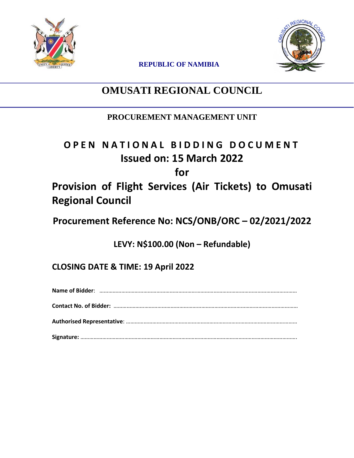



**REPUBLIC OF NAMIBIA**

## **OMUSATI REGIONAL COUNCIL**

### **PROCUREMENT MANAGEMENT UNIT**

## **O P E N N A T I O N A L B I D D I N G D O C U M E N T Issued on: 15 March 2022**

**for**

## **Provision of Flight Services (Air Tickets) to Omusati Regional Council**

**Procurement Reference No: NCS/ONB/ORC – 02/2021/2022**

**LEVY: N\$100.00 (Non – Refundable)**

**CLOSING DATE & TIME: 19 April 2022**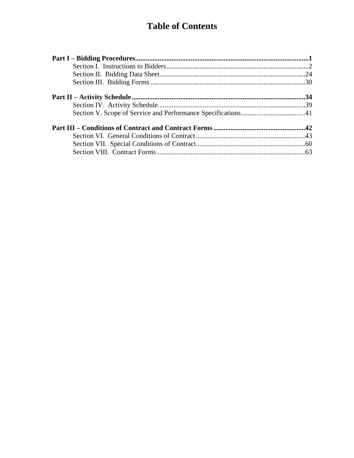## **Table of Contents**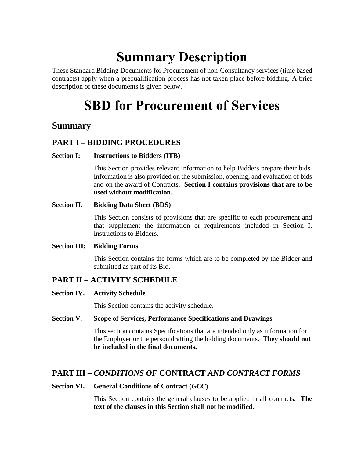# **Summary Description**

These Standard Bidding Documents for Procurement of non-Consultancy services (time based contracts) apply when a prequalification process has not taken place before bidding. A brief description of these documents is given below.

## **SBD for Procurement of Services**

### **Summary**

### **PART I – BIDDING PROCEDURES**

### **Section I: Instructions to Bidders (ITB)**

This Section provides relevant information to help Bidders prepare their bids. Information is also provided on the submission, opening, and evaluation of bids and on the award of Contracts. **Section I contains provisions that are to be used without modification.**

### **Section II. Bidding Data Sheet (BDS)**

This Section consists of provisions that are specific to each procurement and that supplement the information or requirements included in Section I, Instructions to Bidders.

### **Section III: Bidding Forms**

This Section contains the forms which are to be completed by the Bidder and submitted as part of its Bid.

### **PART II – ACTIVITY SCHEDULE**

### **Section IV. Activity Schedule**

This Section contains the activity schedule.

### **Section V. Scope of Services, Performance Specifications and Drawings**

This section contains Specifications that are intended only as information for the Employer or the person drafting the bidding documents. **They should not be included in the final documents.**

### **PART III –** *CONDITIONS OF* **CONTRACT** *AND CONTRACT FORMS*

### **Section VI. General Conditions of Contract (***GCC***)**

This Section contains the general clauses to be applied in all contracts. **The text of the clauses in this Section shall not be modified.**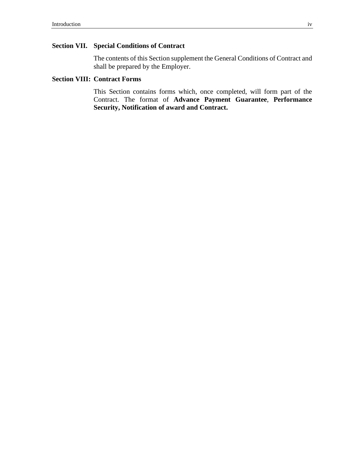### **Section VII. Special Conditions of Contract**

The contents of this Section supplement the General Conditions of Contract and shall be prepared by the Employer.

#### **Section VIII: Contract Forms**

This Section contains forms which, once completed, will form part of the Contract. The format of **Advance Payment Guarantee**, **Performance Security, Notification of award and Contract.**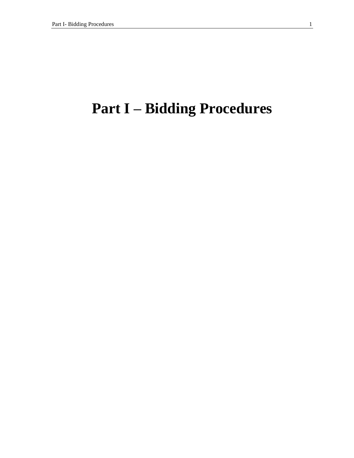# <span id="page-4-0"></span>**Part I – Bidding Procedures**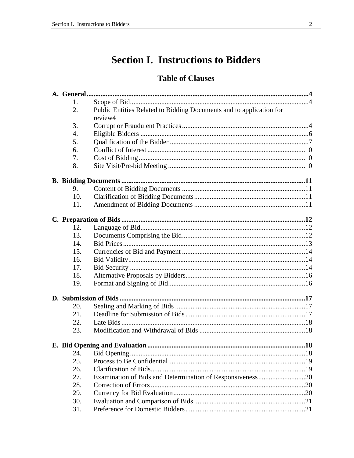## **Section I. Instructions to Bidders**

### **Table of Clauses**

<span id="page-5-0"></span>

| 1.  |                                                                     |  |
|-----|---------------------------------------------------------------------|--|
| 2.  | Public Entities Related to Bidding Documents and to application for |  |
|     | review4                                                             |  |
| 3.  |                                                                     |  |
| 4.  |                                                                     |  |
| 5.  |                                                                     |  |
| 6.  |                                                                     |  |
| 7.  |                                                                     |  |
| 8.  |                                                                     |  |
|     |                                                                     |  |
| 9.  |                                                                     |  |
| 10. |                                                                     |  |
| 11. |                                                                     |  |
|     |                                                                     |  |
| 12. |                                                                     |  |
| 13. |                                                                     |  |
| 14. |                                                                     |  |
| 15. |                                                                     |  |
| 16. |                                                                     |  |
| 17. |                                                                     |  |
| 18. |                                                                     |  |
| 19. |                                                                     |  |
|     |                                                                     |  |
| 20. |                                                                     |  |
| 21. |                                                                     |  |
| 22. |                                                                     |  |
| 23. |                                                                     |  |
|     |                                                                     |  |
| 24. |                                                                     |  |
| 25. |                                                                     |  |
| 26. |                                                                     |  |
| 27. | Examination of Bids and Determination of Responsiveness20           |  |
| 28. |                                                                     |  |
| 29. |                                                                     |  |
| 30. |                                                                     |  |
| 31. |                                                                     |  |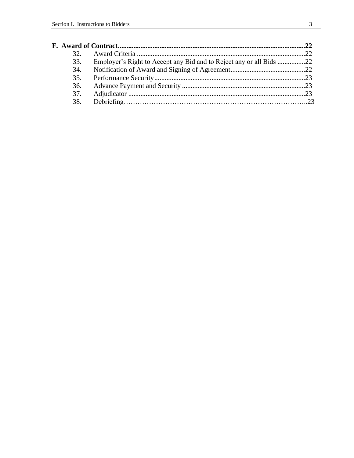| 32 <sub>1</sub>                                                            |  |
|----------------------------------------------------------------------------|--|
| 33.<br>Employer's Right to Accept any Bid and to Reject any or all Bids 22 |  |
| 34.                                                                        |  |
| 35.                                                                        |  |
| 36.                                                                        |  |
| 37.                                                                        |  |
|                                                                            |  |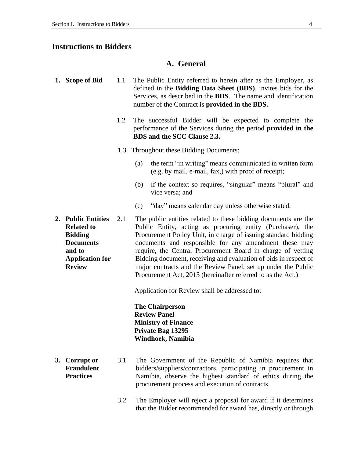### **Instructions to Bidders**

### **A. General**

| 1. Scope of Bid                                                                                                                    | 1.1 | The Public Entity referred to herein after as the Employer, as<br>defined in the <b>Bidding Data Sheet (BDS)</b> , invites bids for the<br>Services, as described in the <b>BDS</b> . The name and identification<br>number of the Contract is <b>provided in the BDS.</b>                                                                                                                                                                                                                                                 |  |
|------------------------------------------------------------------------------------------------------------------------------------|-----|----------------------------------------------------------------------------------------------------------------------------------------------------------------------------------------------------------------------------------------------------------------------------------------------------------------------------------------------------------------------------------------------------------------------------------------------------------------------------------------------------------------------------|--|
|                                                                                                                                    | 1.2 | The successful Bidder will be expected to complete the<br>performance of the Services during the period provided in the<br>BDS and the SCC Clause 2.3.                                                                                                                                                                                                                                                                                                                                                                     |  |
|                                                                                                                                    | 1.3 | Throughout these Bidding Documents:                                                                                                                                                                                                                                                                                                                                                                                                                                                                                        |  |
|                                                                                                                                    |     | the term "in writing" means communicated in written form<br>(a)<br>(e.g. by mail, e-mail, fax,) with proof of receipt;                                                                                                                                                                                                                                                                                                                                                                                                     |  |
|                                                                                                                                    |     | if the context so requires, "singular" means "plural" and<br>(b)<br>vice versa; and                                                                                                                                                                                                                                                                                                                                                                                                                                        |  |
|                                                                                                                                    |     | "day" means calendar day unless otherwise stated.<br>(c)                                                                                                                                                                                                                                                                                                                                                                                                                                                                   |  |
| 2. Public Entities<br><b>Related to</b><br><b>Bidding</b><br><b>Documents</b><br>and to<br><b>Application for</b><br><b>Review</b> | 2.1 | The public entities related to these bidding documents are the<br>Public Entity, acting as procuring entity (Purchaser), the<br>Procurement Policy Unit, in charge of issuing standard bidding<br>documents and responsible for any amendment these may<br>require, the Central Procurement Board in charge of vetting<br>Bidding document, receiving and evaluation of bids in respect of<br>major contracts and the Review Panel, set up under the Public<br>Procurement Act, 2015 (hereinafter referred to as the Act.) |  |
|                                                                                                                                    |     | Application for Review shall be addressed to:                                                                                                                                                                                                                                                                                                                                                                                                                                                                              |  |
|                                                                                                                                    |     | <b>The Chairperson</b><br><b>Review Panel</b><br><b>Ministry of Finance</b><br>Private Bag 13295<br>Windhoek, Namibia                                                                                                                                                                                                                                                                                                                                                                                                      |  |

- **3. Corrupt or Fraudulent Practices**
- 3.1 The Government of the Republic of Namibia requires that bidders/suppliers/contractors, participating in procurement in Namibia, observe the highest standard of ethics during the procurement process and execution of contracts.
	- 3.2 The Employer will reject a proposal for award if it determines that the Bidder recommended for award has, directly or through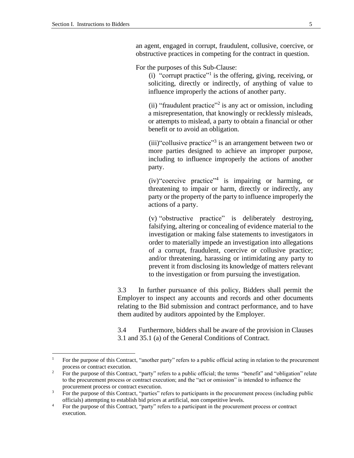an agent, engaged in corrupt, fraudulent, collusive, coercive, or obstructive practices in competing for the contract in question.

For the purposes of this Sub-Clause:

(i) "corrupt practice"<sup>1</sup> is the offering, giving, receiving, or soliciting, directly or indirectly, of anything of value to influence improperly the actions of another party.

(ii) "fraudulent practice"<sup>2</sup> is any act or omission, including a misrepresentation, that knowingly or recklessly misleads, or attempts to mislead, a party to obtain a financial or other benefit or to avoid an obligation.

(iii)"collusive practice"<sup>3</sup> is an arrangement between two or more parties designed to achieve an improper purpose, including to influence improperly the actions of another party.

 $(iv)$ "coercive practice"<sup>4</sup> is impairing or harming, or threatening to impair or harm, directly or indirectly, any party or the property of the party to influence improperly the actions of a party.

(v) "obstructive practice" is deliberately destroying, falsifying, altering or concealing of evidence material to the investigation or making false statements to investigators in order to materially impede an investigation into allegations of a corrupt, fraudulent, coercive or collusive practice; and/or threatening, harassing or intimidating any party to prevent it from disclosing its knowledge of matters relevant to the investigation or from pursuing the investigation.

3.3 In further pursuance of this policy, Bidders shall permit the Employer to inspect any accounts and records and other documents relating to the Bid submission and contract performance, and to have them audited by auditors appointed by the Employer.

3.4 Furthermore, bidders shall be aware of the provision in Clauses 3.1 and 35.1 (a) of the General Conditions of Contract.

<sup>1</sup> For the purpose of this Contract, "another party" refers to a public official acting in relation to the procurement process or contract execution.

<sup>&</sup>lt;sup>2</sup> For the purpose of this Contract, "party" refers to a public official; the terms "benefit" and "obligation" relate to the procurement process or contract execution; and the "act or omission" is intended to influence the procurement process or contract execution.

<sup>&</sup>lt;sup>3</sup> For the purpose of this Contract, "parties" refers to participants in the procurement process (including public officials) attempting to establish bid prices at artificial, non competitive levels.

<sup>&</sup>lt;sup>4</sup> For the purpose of this Contract, "party" refers to a participant in the procurement process or contract execution.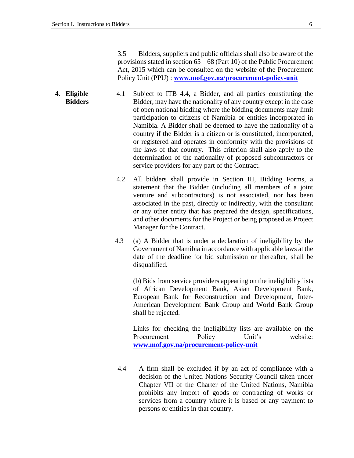3.5 Bidders, suppliers and public officials shall also be aware of the provisions stated in section 65 – 68 (Part 10) of the Public Procurement Act, 2015 which can be consulted on the website of the Procurement Policy Unit (PPU) : **[www.mof.gov.na/procurement-policy-unit](http://www.mof.gov.na/procurement-policy-unit)**

- **4. Eligible Bidders** 4.1 Subject to ITB 4.4, a Bidder, and all parties constituting the Bidder, may have the nationality of any country except in the case of open national bidding where the bidding documents may limit participation to citizens of Namibia or entities incorporated in Namibia. A Bidder shall be deemed to have the nationality of a country if the Bidder is a citizen or is constituted, incorporated, or registered and operates in conformity with the provisions of the laws of that country. This criterion shall also apply to the determination of the nationality of proposed subcontractors or service providers for any part of the Contract.
	- 4.2 All bidders shall provide in Section III, Bidding Forms, a statement that the Bidder (including all members of a joint venture and subcontractors) is not associated, nor has been associated in the past, directly or indirectly, with the consultant or any other entity that has prepared the design, specifications, and other documents for the Project or being proposed as Project Manager for the Contract.
	- 4.3 (a) A Bidder that is under a declaration of ineligibility by the Government of Namibia in accordance with applicable laws at the date of the deadline for bid submission or thereafter, shall be disqualified.

(b) Bids from service providers appearing on the ineligibility lists of African Development Bank, Asian Development Bank, European Bank for Reconstruction and Development, Inter-American Development Bank Group and World Bank Group shall be rejected.

Links for checking the ineligibility lists are available on the Procurement Policy Unit's website: **[www.mof.gov.na/procurement-policy-unit](http://www.mof.gov.na/procurement-policy-unit)**

4.4 A firm shall be excluded if by an act of compliance with a decision of the United Nations Security Council taken under Chapter VII of the Charter of the United Nations, Namibia prohibits any import of goods or contracting of works or services from a country where it is based or any payment to persons or entities in that country.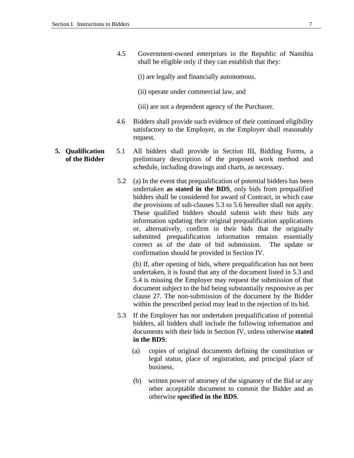- 4.5 Government-owned enterprises in the Republic of Namibia shall be eligible only if they can establish that they:
	- (i) are legally and financially autonomous.
	- (ii) operate under commercial law, and
	- (iii) are not a dependent agency of the Purchaser.
- 4.6 Bidders shall provide such evidence of their continued eligibility satisfactory to the Employer, as the Employer shall reasonably request.
- **5. Qualification of the Bidder** 5.1 All bidders shall provide in Section III, Bidding Forms, a preliminary description of the proposed work method and schedule, including drawings and charts, as necessary.
	- 5.2 (a) In the event that prequalification of potential bidders has been undertaken **as stated in the BDS**, only bids from prequalified bidders shall be considered for award of Contract, in which case the provisions of sub-clauses 5.3 to 5.6 hereafter shall not apply. These qualified bidders should submit with their bids any information updating their original prequalification applications or, alternatively, confirm in their bids that the originally submitted prequalification information remains essentially correct as of the date of bid submission. The update or confirmation should be provided in Section IV.

(b) If, after opening of bids, where prequalification has not been undertaken, it is found that any of the document listed in 5.3 and 5.4 is missing the Employer may request the submission of that document subject to the bid being substantially responsive as per clause 27. The non-submission of the document by the Bidder within the prescribed period may lead to the rejection of its bid.

- 5.3 If the Employer has not undertaken prequalification of potential bidders, all bidders shall include the following information and documents with their bids in Section IV, unless otherwise **stated in the BDS**:
	- (a) copies of original documents defining the constitution or legal status, place of registration, and principal place of business.
	- (b) written power of attorney of the signatory of the Bid or any other acceptable document to commit the Bidder and as otherwise **specified in the BDS**.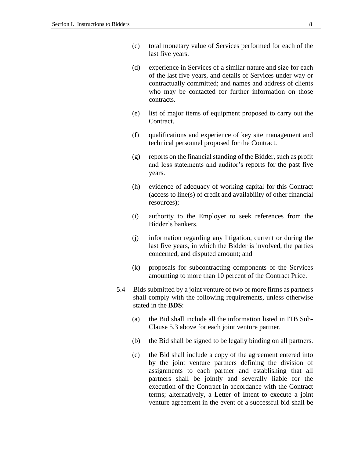- (c) total monetary value of Services performed for each of the last five years.
- (d) experience in Services of a similar nature and size for each of the last five years, and details of Services under way or contractually committed; and names and address of clients who may be contacted for further information on those contracts.
- (e) list of major items of equipment proposed to carry out the Contract.
- (f) qualifications and experience of key site management and technical personnel proposed for the Contract.
- (g) reports on the financial standing of the Bidder, such as profit and loss statements and auditor's reports for the past five years.
- (h) evidence of adequacy of working capital for this Contract (access to line(s) of credit and availability of other financial resources);
- (i) authority to the Employer to seek references from the Bidder's bankers.
- (j) information regarding any litigation, current or during the last five years, in which the Bidder is involved, the parties concerned, and disputed amount; and
- (k) proposals for subcontracting components of the Services amounting to more than 10 percent of the Contract Price.
- 5.4 Bids submitted by a joint venture of two or more firms as partners shall comply with the following requirements, unless otherwise stated in the **BDS**:
	- (a) the Bid shall include all the information listed in ITB Sub-Clause 5.3 above for each joint venture partner.
	- (b) the Bid shall be signed to be legally binding on all partners.
	- (c) the Bid shall include a copy of the agreement entered into by the joint venture partners defining the division of assignments to each partner and establishing that all partners shall be jointly and severally liable for the execution of the Contract in accordance with the Contract terms; alternatively, a Letter of Intent to execute a joint venture agreement in the event of a successful bid shall be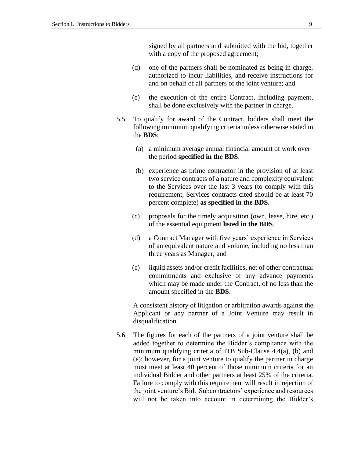signed by all partners and submitted with the bid, together with a copy of the proposed agreement;

- (d) one of the partners shall be nominated as being in charge, authorized to incur liabilities, and receive instructions for and on behalf of all partners of the joint venture; and
- (e) the execution of the entire Contract, including payment, shall be done exclusively with the partner in charge.
- 5.5 To qualify for award of the Contract, bidders shall meet the following minimum qualifying criteria unless otherwise stated in the **BDS**:
	- (a) a minimum average annual financial amount of work over the period **specified in the BDS**.
	- (b) experience as prime contractor in the provision of at least two service contracts of a nature and complexity equivalent to the Services over the last 3 years (to comply with this requirement, Services contracts cited should be at least 70 percent complete) **as specified in the BDS.**
	- (c) proposals for the timely acquisition (own, lease, hire, etc.) of the essential equipment **listed in the BDS**.
	- (d) a Contract Manager with five years' experience in Services of an equivalent nature and volume, including no less than three years as Manager; and
	- (e) liquid assets and/or credit facilities, net of other contractual commitments and exclusive of any advance payments which may be made under the Contract, of no less than the amount specified in the **BDS**.

A consistent history of litigation or arbitration awards against the Applicant or any partner of a Joint Venture may result in disqualification.

5.6 The figures for each of the partners of a joint venture shall be added together to determine the Bidder's compliance with the minimum qualifying criteria of ITB Sub-Clause 4.4(a), (b) and (e); however, for a joint venture to qualify the partner in charge must meet at least 40 percent of those minimum criteria for an individual Bidder and other partners at least 25% of the criteria. Failure to comply with this requirement will result in rejection of the joint venture's Bid. Subcontractors' experience and resources will not be taken into account in determining the Bidder's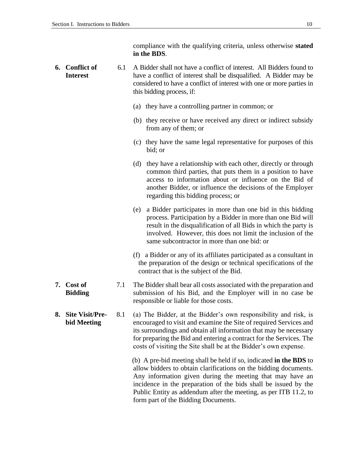compliance with the qualifying criteria, unless otherwise **stated in the BDS**.

**6. Conflict of Interest** 6.1 A Bidder shall not have a conflict of interest. All Bidders found to have a conflict of interest shall be disqualified. A Bidder may be considered to have a conflict of interest with one or more parties in this bidding process, if: (a) they have a controlling partner in common; or (b) they receive or have received any direct or indirect subsidy from any of them; or (c) they have the same legal representative for purposes of this bid; or (d) they have a relationship with each other, directly or through common third parties, that puts them in a position to have access to information about or influence on the Bid of another Bidder, or influence the decisions of the Employer regarding this bidding process; or (e) a Bidder participates in more than one bid in this bidding process. Participation by a Bidder in more than one Bid will result in the disqualification of all Bids in which the party is involved. However, this does not limit the inclusion of the same subcontractor in more than one bid: or (f) a Bidder or any of its affiliates participated as a consultant in the preparation of the design or technical specifications of the contract that is the subject of the Bid. **7. Cost of Bidding** 7.1 The Bidder shall bear all costs associated with the preparation and submission of his Bid, and the Employer will in no case be responsible or liable for those costs. **8. Site Visit/Prebid Meeting** 8.1 (a) The Bidder, at the Bidder's own responsibility and risk, is encouraged to visit and examine the Site of required Services and its surroundings and obtain all information that may be necessary for preparing the Bid and entering a contract for the Services. The costs of visiting the Site shall be at the Bidder's own expense. (b) A pre-bid meeting shall be held if so, indicated **in the BDS** to allow bidders to obtain clarifications on the bidding documents. Any information given during the meeting that may have an incidence in the preparation of the bids shall be issued by the Public Entity as addendum after the meeting, as per ITB 11.2, to

form part of the Bidding Documents.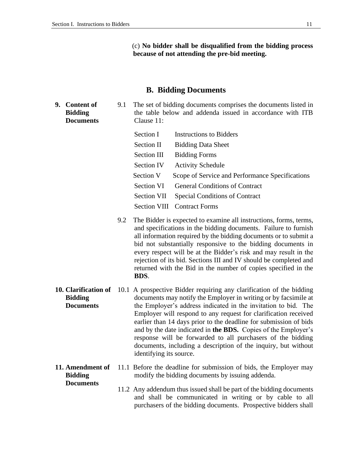(c) **No bidder shall be disqualified from the bidding process because of not attending the pre-bid meeting.**

#### **B. Bidding Documents**

**9. Content of Bidding Documents** 9.1 The set of bidding documents comprises the documents listed in the table below and addenda issued in accordance with ITB Clause 11:

| Section I         | <b>Instructions to Bidders</b>                  |
|-------------------|-------------------------------------------------|
| Section II        | <b>Bidding Data Sheet</b>                       |
| Section III       | <b>Bidding Forms</b>                            |
| <b>Section IV</b> | <b>Activity Schedule</b>                        |
| Section V         | Scope of Service and Performance Specifications |
| Section VI        | <b>General Conditions of Contract</b>           |
| Section VII       | <b>Special Conditions of Contract</b>           |
|                   | <b>Section VIII</b> Contract Forms              |

- 9.2 The Bidder is expected to examine all instructions, forms, terms, and specifications in the bidding documents. Failure to furnish all information required by the bidding documents or to submit a bid not substantially responsive to the bidding documents in every respect will be at the Bidder's risk and may result in the rejection of its bid. Sections III and IV should be completed and returned with the Bid in the number of copies specified in the **BDS**.
- 10. **Clarification of** 10.1 A prospective Bidder requiring any clarification of the bidding **Bidding Documents** documents may notify the Employer in writing or by facsimile at the Employer's address indicated in the invitation to bid. The Employer will respond to any request for clarification received earlier than 14 days prior to the deadline for submission of bids and by the date indicated in **the BDS.** Copies of the Employer's response will be forwarded to all purchasers of the bidding documents, including a description of the inquiry, but without identifying its source.
- **11. Amendment of Bidding Documents** 11.1 Before the deadline for submission of bids, the Employer may modify the bidding documents by issuing addenda.
	- 11.2 Any addendum thus issued shall be part of the bidding documents and shall be communicated in writing or by cable to all purchasers of the bidding documents. Prospective bidders shall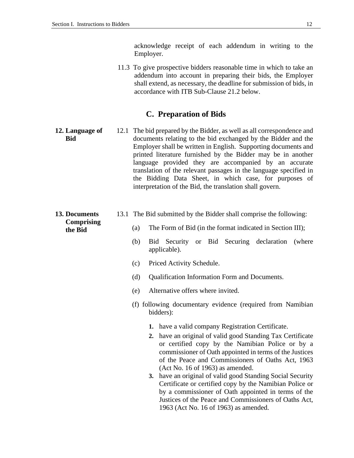acknowledge receipt of each addendum in writing to the Employer.

11.3 To give prospective bidders reasonable time in which to take an addendum into account in preparing their bids, the Employer shall extend, as necessary, the deadline for submission of bids, in accordance with ITB Sub-Clause 21.2 below.

### **C. Preparation of Bids**

- **12. Language of Bid** 12.1 The bid prepared by the Bidder, as well as all correspondence and documents relating to the bid exchanged by the Bidder and the Employer shall be written in English. Supporting documents and printed literature furnished by the Bidder may be in another language provided they are accompanied by an accurate translation of the relevant passages in the language specified in the Bidding Data Sheet, in which case, for purposes of interpretation of the Bid, the translation shall govern.
- **13. Documents Comprising the Bid**
	- 13.1 The Bid submitted by the Bidder shall comprise the following:
		- (a) The Form of Bid (in the format indicated in Section III);
			- (b) Bid Security or Bid Securing declaration (where applicable).
			- (c) Priced Activity Schedule.
			- (d) Qualification Information Form and Documents.
			- (e) Alternative offers where invited.
			- (f) following documentary evidence (required from Namibian bidders):
				- **1.** have a valid company Registration Certificate.
				- **2.** have an original of valid good Standing Tax Certificate or certified copy by the Namibian Police or by a commissioner of Oath appointed in terms of the Justices of the Peace and Commissioners of Oaths Act, 1963 (Act No. 16 of 1963) as amended.
				- **3.** have an original of valid good Standing Social Security Certificate or certified copy by the Namibian Police or by a commissioner of Oath appointed in terms of the Justices of the Peace and Commissioners of Oaths Act, 1963 (Act No. 16 of 1963) as amended.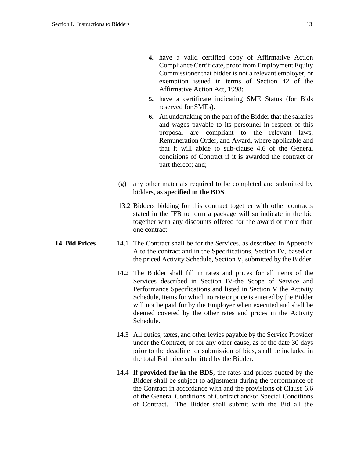- **4.** have a valid certified copy of Affirmative Action Compliance Certificate, proof from Employment Equity Commissioner that bidder is not a relevant employer, or exemption issued in terms of Section 42 of the Affirmative Action Act, 1998;
- **5.** have a certificate indicating SME Status (for Bids reserved for SMEs).
- **6.** An undertaking on the part of the Bidder that the salaries and wages payable to its personnel in respect of this proposal are compliant to the relevant laws, Remuneration Order, and Award, where applicable and that it will abide to sub-clause 4.6 of the General conditions of Contract if it is awarded the contract or part thereof; and;
- (g) any other materials required to be completed and submitted by bidders, as **specified in the BDS**.
- 13.2 Bidders bidding for this contract together with other contracts stated in the IFB to form a package will so indicate in the bid together with any discounts offered for the award of more than one contract
- **14. Bid Prices** 14.1 The Contract shall be for the Services, as described in Appendix A to the contract and in the Specifications, Section IV, based on the priced Activity Schedule, Section V, submitted by the Bidder.
	- 14.2 The Bidder shall fill in rates and prices for all items of the Services described in Section IV-the Scope of Service and Performance Specifications and listed in Section V the Activity Schedule, Items for which no rate or price is entered by the Bidder will not be paid for by the Employer when executed and shall be deemed covered by the other rates and prices in the Activity Schedule.
	- 14.3 All duties, taxes, and other levies payable by the Service Provider under the Contract, or for any other cause, as of the date 30 days prior to the deadline for submission of bids, shall be included in the total Bid price submitted by the Bidder.
	- 14.4 If **provided for in the BDS**, the rates and prices quoted by the Bidder shall be subject to adjustment during the performance of the Contract in accordance with and the provisions of Clause 6.6 of the General Conditions of Contract and/or Special Conditions of Contract. The Bidder shall submit with the Bid all the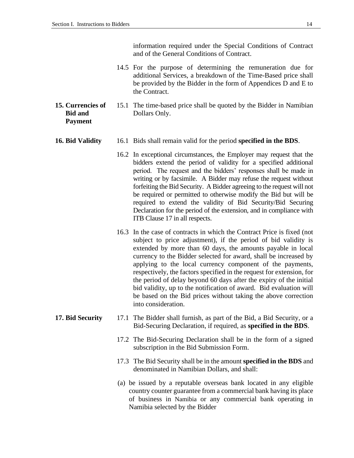information required under the Special Conditions of Contract and of the General Conditions of Contract.

- 14.5 For the purpose of determining the remuneration due for additional Services, a breakdown of the Time-Based price shall be provided by the Bidder in the form of Appendices D and E to the Contract.
- **15. Currencies of Bid and Payment** 15.1 The time-based price shall be quoted by the Bidder in Namibian Dollars Only.

#### **16. Bid Validity** 16.1 Bids shall remain valid for the period **specified in the BDS**.

- 16.2 In exceptional circumstances, the Employer may request that the bidders extend the period of validity for a specified additional period. The request and the bidders' responses shall be made in writing or by facsimile. A Bidder may refuse the request without forfeiting the Bid Security. A Bidder agreeing to the request will not be required or permitted to otherwise modify the Bid but will be required to extend the validity of Bid Security/Bid Securing Declaration for the period of the extension, and in compliance with ITB Clause 17 in all respects.
- 16.3 In the case of contracts in which the Contract Price is fixed (not subject to price adjustment), if the period of bid validity is extended by more than 60 days, the amounts payable in local currency to the Bidder selected for award, shall be increased by applying to the local currency component of the payments, respectively, the factors specified in the request for extension, for the period of delay beyond 60 days after the expiry of the initial bid validity, up to the notification of award. Bid evaluation will be based on the Bid prices without taking the above correction into consideration.
- **17. Bid Security** 17.1 The Bidder shall furnish, as part of the Bid, a Bid Security, or a Bid-Securing Declaration, if required, as **specified in the BDS**.
	- 17.2 The Bid-Securing Declaration shall be in the form of a signed subscription in the Bid Submission Form.
	- 17.3 The Bid Security shall be in the amount **specified in the BDS** and denominated in Namibian Dollars, and shall:
	- (a) be issued by a reputable overseas bank located in any eligible country counter guarantee from a commercial bank having its place of business in Namibia or any commercial bank operating in Namibia selected by the Bidder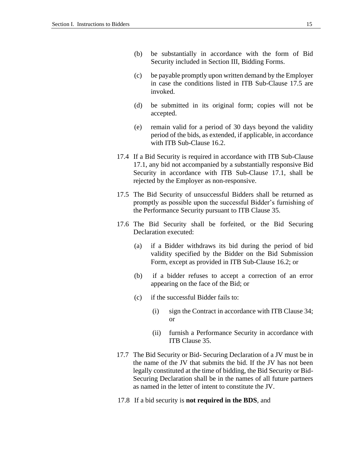- (b) be substantially in accordance with the form of Bid Security included in Section III, Bidding Forms.
- (c) be payable promptly upon written demand by the Employer in case the conditions listed in ITB Sub-Clause 17.5 are invoked.
- (d) be submitted in its original form; copies will not be accepted.
- (e) remain valid for a period of 30 days beyond the validity period of the bids, as extended, if applicable, in accordance with ITB Sub-Clause 16.2.
- 17.4 If a Bid Security is required in accordance with ITB Sub-Clause 17.1, any bid not accompanied by a substantially responsive Bid Security in accordance with ITB Sub-Clause 17.1, shall be rejected by the Employer as non-responsive.
- 17.5 The Bid Security of unsuccessful Bidders shall be returned as promptly as possible upon the successful Bidder's furnishing of the Performance Security pursuant to ITB Clause 35.
- 17.6 The Bid Security shall be forfeited, or the Bid Securing Declaration executed:
	- (a) if a Bidder withdraws its bid during the period of bid validity specified by the Bidder on the Bid Submission Form, except as provided in ITB Sub-Clause 16.2; or
	- (b) if a bidder refuses to accept a correction of an error appearing on the face of the Bid; or
	- (c) if the successful Bidder fails to:
		- (i) sign the Contract in accordance with ITB Clause 34; or
		- (ii) furnish a Performance Security in accordance with ITB Clause 35.
- 17.7 The Bid Security or Bid- Securing Declaration of a JV must be in the name of the JV that submits the bid. If the JV has not been legally constituted at the time of bidding, the Bid Security or Bid-Securing Declaration shall be in the names of all future partners as named in the letter of intent to constitute the JV.
- 17.8 If a bid security is **not required in the BDS**, and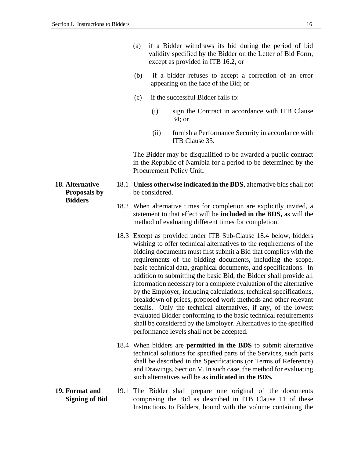- (a) if a Bidder withdraws its bid during the period of bid validity specified by the Bidder on the Letter of Bid Form, except as provided in ITB 16.2, or
- (b) if a bidder refuses to accept a correction of an error appearing on the face of the Bid; or
- (c) if the successful Bidder fails to:
	- (i) sign the Contract in accordance with ITB Clause 34; or
	- (ii) furnish a Performance Security in accordance with ITB Clause 35.

The Bidder may be disqualified to be awarded a public contract in the Republic of Namibia for a period to be determined by the Procurement Policy Unit**.**

- 18.1 **Unless otherwise indicated in the BDS**, alternative bids shall not be considered.
- 18.2 When alternative times for completion are explicitly invited, a statement to that effect will be **included in the BDS,** as will the method of evaluating different times for completion.
- 18.3 Except as provided under ITB Sub-Clause 18.4 below, bidders wishing to offer technical alternatives to the requirements of the bidding documents must first submit a Bid that complies with the requirements of the bidding documents, including the scope, basic technical data, graphical documents, and specifications. In addition to submitting the basic Bid, the Bidder shall provide all information necessary for a complete evaluation of the alternative by the Employer, including calculations, technical specifications, breakdown of prices, proposed work methods and other relevant details. Only the technical alternatives, if any, of the lowest evaluated Bidder conforming to the basic technical requirements shall be considered by the Employer. Alternatives to the specified performance levels shall not be accepted.
- 18.4 When bidders are **permitted in the BDS** to submit alternative technical solutions for specified parts of the Services, such parts shall be described in the Specifications (or Terms of Reference) and Drawings, Section V. In such case, the method for evaluating such alternatives will be as **indicated in the BDS.**
- **19. Format and Signing of Bid** 19.1 The Bidder shall prepare one original of the documents comprising the Bid as described in ITB Clause 11 of these Instructions to Bidders, bound with the volume containing the

**18. Alternative Proposals by Bidders**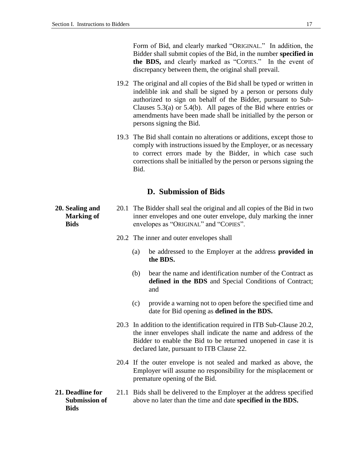Form of Bid, and clearly marked "ORIGINAL." In addition, the Bidder shall submit copies of the Bid, in the number **specified in the BDS,** and clearly marked as "COPIES." In the event of discrepancy between them, the original shall prevail.

- 19.2 The original and all copies of the Bid shall be typed or written in indelible ink and shall be signed by a person or persons duly authorized to sign on behalf of the Bidder, pursuant to Sub-Clauses 5.3(a) or 5.4(b). All pages of the Bid where entries or amendments have been made shall be initialled by the person or persons signing the Bid.
- 19.3 The Bid shall contain no alterations or additions, except those to comply with instructions issued by the Employer, or as necessary to correct errors made by the Bidder, in which case such corrections shall be initialled by the person or persons signing the Bid.

### **D. Submission of Bids**

- 20.1 The Bidder shall seal the original and all copies of the Bid in two inner envelopes and one outer envelope, duly marking the inner envelopes as "ORIGINAL" and "COPIES".
	- 20.2 The inner and outer envelopes shall
		- (a) be addressed to the Employer at the address **provided in the BDS.**
		- (b) bear the name and identification number of the Contract as **defined in the BDS** and Special Conditions of Contract; and
		- (c) provide a warning not to open before the specified time and date for Bid opening as **defined in the BDS.**
	- 20.3 In addition to the identification required in ITB Sub-Clause 20.2, the inner envelopes shall indicate the name and address of the Bidder to enable the Bid to be returned unopened in case it is declared late, pursuant to ITB Clause 22.
	- 20.4 If the outer envelope is not sealed and marked as above, the Employer will assume no responsibility for the misplacement or premature opening of the Bid.
- **21. Deadline for Submission of Bids** 21.1 Bids shall be delivered to the Employer at the address specified above no later than the time and date **specified in the BDS.**

**20. Sealing and Marking of Bids**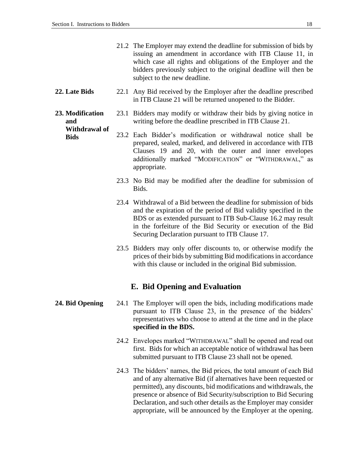- 21.2 The Employer may extend the deadline for submission of bids by issuing an amendment in accordance with ITB Clause 11, in which case all rights and obligations of the Employer and the bidders previously subject to the original deadline will then be subject to the new deadline.
- **22. Late Bids** 22.1 Any Bid received by the Employer after the deadline prescribed in ITB Clause 21 will be returned unopened to the Bidder.
- **23. Modification and Withdrawal of**  23.1 Bidders may modify or withdraw their bids by giving notice in writing before the deadline prescribed in ITB Clause 21.
	- **Bids** 23.2 Each Bidder's modification or withdrawal notice shall be prepared, sealed, marked, and delivered in accordance with ITB Clauses 19 and 20, with the outer and inner envelopes additionally marked "MODIFICATION" or "WITHDRAWAL," as appropriate.
		- 23.3 No Bid may be modified after the deadline for submission of Bids.
		- 23.4 Withdrawal of a Bid between the deadline for submission of bids and the expiration of the period of Bid validity specified in the BDS or as extended pursuant to ITB Sub-Clause 16.2 may result in the forfeiture of the Bid Security or execution of the Bid Securing Declaration pursuant to ITB Clause 17.
		- 23.5 Bidders may only offer discounts to, or otherwise modify the prices of their bids by submitting Bid modifications in accordance with this clause or included in the original Bid submission.

#### **E. Bid Opening and Evaluation**

- **24. Bid Opening** 24.1 The Employer will open the bids, including modifications made pursuant to ITB Clause 23, in the presence of the bidders' representatives who choose to attend at the time and in the place **specified in the BDS.**
	- 24.2 Envelopes marked "WITHDRAWAL" shall be opened and read out first. Bids for which an acceptable notice of withdrawal has been submitted pursuant to ITB Clause 23 shall not be opened.
	- 24.3 The bidders' names, the Bid prices, the total amount of each Bid and of any alternative Bid (if alternatives have been requested or permitted), any discounts, bid modifications and withdrawals, the presence or absence of Bid Security/subscription to Bid Securing Declaration, and such other details as the Employer may consider appropriate, will be announced by the Employer at the opening.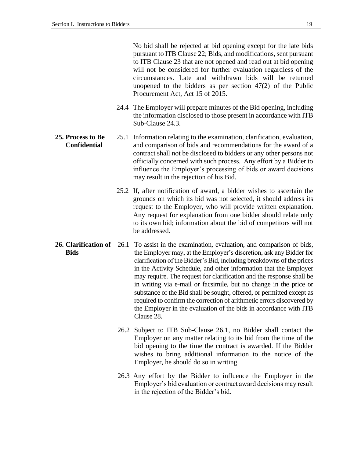No bid shall be rejected at bid opening except for the late bids pursuant to ITB Clause 22; Bids, and modifications, sent pursuant to ITB Clause 23 that are not opened and read out at bid opening will not be considered for further evaluation regardless of the circumstances. Late and withdrawn bids will be returned unopened to the bidders as per section  $47(2)$  of the Public Procurement Act, Act 15 of 2015.

- 24.4 The Employer will prepare minutes of the Bid opening, including the information disclosed to those present in accordance with ITB Sub-Clause 24.3.
- **25. Process to Be Confidential** 25.1 Information relating to the examination, clarification, evaluation, and comparison of bids and recommendations for the award of a contract shall not be disclosed to bidders or any other persons not officially concerned with such process. Any effort by a Bidder to influence the Employer's processing of bids or award decisions may result in the rejection of his Bid.
	- 25.2 If, after notification of award, a bidder wishes to ascertain the grounds on which its bid was not selected, it should address its request to the Employer, who will provide written explanation. Any request for explanation from one bidder should relate only to its own bid; information about the bid of competitors will not be addressed.
- **26. Clarification of** 26.1 To assist in the examination, evaluation, and comparison of bids, **Bids** the Employer may, at the Employer's discretion, ask any Bidder for clarification of the Bidder's Bid, including breakdowns of the prices in the Activity Schedule, and other information that the Employer may require. The request for clarification and the response shall be in writing via e-mail or facsimile, but no change in the price or substance of the Bid shall be sought, offered, or permitted except as required to confirm the correction of arithmetic errors discovered by the Employer in the evaluation of the bids in accordance with ITB Clause 28.
	- 26.2 Subject to ITB Sub-Clause 26.1, no Bidder shall contact the Employer on any matter relating to its bid from the time of the bid opening to the time the contract is awarded. If the Bidder wishes to bring additional information to the notice of the Employer, he should do so in writing.
	- 26.3 Any effort by the Bidder to influence the Employer in the Employer's bid evaluation or contract award decisions may result in the rejection of the Bidder's bid.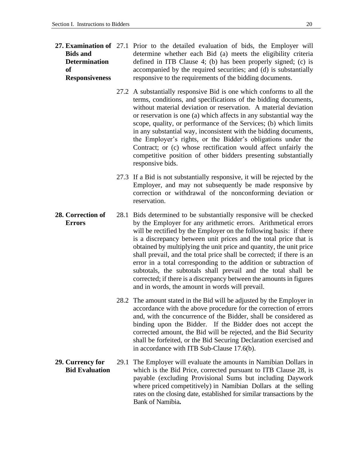- 27. **Examination of** 27.1 Prior to the detailed evaluation of bids, the Employer will **Bids and Determination of Responsiveness** determine whether each Bid (a) meets the eligibility criteria defined in ITB Clause 4; (b) has been properly signed; (c) is accompanied by the required securities; and (d) is substantially responsive to the requirements of the bidding documents.
	- 27.2 A substantially responsive Bid is one which conforms to all the terms, conditions, and specifications of the bidding documents, without material deviation or reservation. A material deviation or reservation is one (a) which affects in any substantial way the scope, quality, or performance of the Services; (b) which limits in any substantial way, inconsistent with the bidding documents, the Employer's rights, or the Bidder's obligations under the Contract; or (c) whose rectification would affect unfairly the competitive position of other bidders presenting substantially responsive bids.
	- 27.3 If a Bid is not substantially responsive, it will be rejected by the Employer, and may not subsequently be made responsive by correction or withdrawal of the nonconforming deviation or reservation.
- **28. Correction of Errors** 28.1 Bids determined to be substantially responsive will be checked by the Employer for any arithmetic errors. Arithmetical errors will be rectified by the Employer on the following basis: if there is a discrepancy between unit prices and the total price that is obtained by multiplying the unit price and quantity, the unit price shall prevail, and the total price shall be corrected; if there is an error in a total corresponding to the addition or subtraction of subtotals, the subtotals shall prevail and the total shall be corrected; if there is a discrepancy between the amounts in figures and in words, the amount in words will prevail.
	- 28.2 The amount stated in the Bid will be adjusted by the Employer in accordance with the above procedure for the correction of errors and, with the concurrence of the Bidder, shall be considered as binding upon the Bidder. If the Bidder does not accept the corrected amount, the Bid will be rejected, and the Bid Security shall be forfeited, or the Bid Securing Declaration exercised and in accordance with ITB Sub-Clause 17.6(b).
- **29. Currency for Bid Evaluation** 29.1 The Employer will evaluate the amounts in Namibian Dollars in which is the Bid Price, corrected pursuant to ITB Clause 28, is payable (excluding Provisional Sums but including Daywork where priced competitively) in Namibian Dollars at the selling rates on the closing date, established for similar transactions by the Bank of Namibia**.**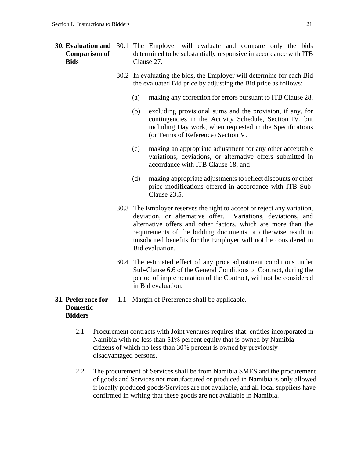#### **30. Evaluation and**  30.1 The Employer will evaluate and compare only the bids **Comparison of Bids** determined to be substantially responsive in accordance with ITB Clause 27.

- 30.2 In evaluating the bids, the Employer will determine for each Bid the evaluated Bid price by adjusting the Bid price as follows:
	- (a) making any correction for errors pursuant to ITB Clause 28.
	- (b) excluding provisional sums and the provision, if any, for contingencies in the Activity Schedule, Section IV, but including Day work, when requested in the Specifications (or Terms of Reference) Section V.
	- (c) making an appropriate adjustment for any other acceptable variations, deviations, or alternative offers submitted in accordance with ITB Clause 18; and
	- (d) making appropriate adjustments to reflect discounts or other price modifications offered in accordance with ITB Sub-Clause 23.5.
- 30.3 The Employer reserves the right to accept or reject any variation, deviation, or alternative offer. Variations, deviations, and alternative offers and other factors, which are more than the requirements of the bidding documents or otherwise result in unsolicited benefits for the Employer will not be considered in Bid evaluation.
- 30.4 The estimated effect of any price adjustment conditions under Sub-Clause 6.6 of the General Conditions of Contract, during the period of implementation of the Contract, will not be considered in Bid evaluation.

#### **31. Preference for Domestic Bidders** 1.1 Margin of Preference shall be applicable.

- 2.1 Procurement contracts with Joint ventures requires that: entities incorporated in Namibia with no less than 51% percent equity that is owned by Namibia citizens of which no less than 30% percent is owned by previously disadvantaged persons.
- 2.2 The procurement of Services shall be from Namibia SMES and the procurement of goods and Services not manufactured or produced in Namibia is only allowed if locally produced goods/Services are not available, and all local suppliers have confirmed in writing that these goods are not available in Namibia.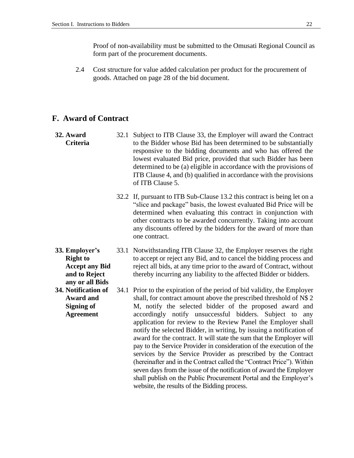Proof of non-availability must be submitted to the Omusati Regional Council as form part of the procurement documents.

2.4 Cost structure for value added calculation per product for the procurement of goods. Attached on page 28 of the bid document.

### **F. Award of Contract**

- **32. Award Criteria** 32.1 Subject to ITB Clause 33, the Employer will award the Contract to the Bidder whose Bid has been determined to be substantially responsive to the bidding documents and who has offered the lowest evaluated Bid price, provided that such Bidder has been determined to be (a) eligible in accordance with the provisions of ITB Clause 4, and (b) qualified in accordance with the provisions of ITB Clause 5.
	- 32.2 If, pursuant to ITB Sub-Clause 13.2 this contract is being let on a "slice and package" basis, the lowest evaluated Bid Price will be determined when evaluating this contract in conjunction with other contracts to be awarded concurrently. Taking into account any discounts offered by the bidders for the award of more than one contract.
- **33. Employer's Right to Accept any Bid and to Reject any or all Bids**
	- 33.1 Notwithstanding ITB Clause 32, the Employer reserves the right to accept or reject any Bid, and to cancel the bidding process and reject all bids, at any time prior to the award of Contract, without thereby incurring any liability to the affected Bidder or bidders.
- **34. Notification of Award and Signing of Agreement** 34.1 Prior to the expiration of the period of bid validity, the Employer shall, for contract amount above the prescribed threshold of N\$ 2 M, notify the selected bidder of the proposed award and accordingly notify unsuccessful bidders. Subject to any application for review to the Review Panel the Employer shall notify the selected Bidder, in writing, by issuing a notification of award for the contract. It will state the sum that the Employer will pay to the Service Provider in consideration of the execution of the services by the Service Provider as prescribed by the Contract (hereinafter and in the Contract called the "Contract Price"). Within seven days from the issue of the notification of award the Employer shall publish on the Public Procurement Portal and the Employer's website, the results of the Bidding process.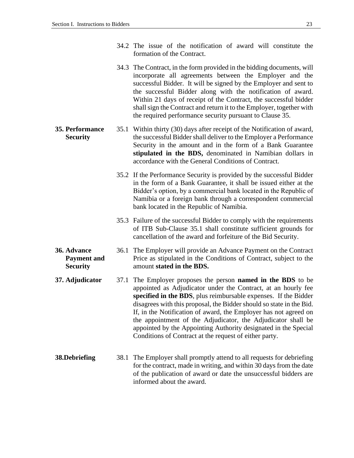- 34.2 The issue of the notification of award will constitute the formation of the Contract.
- 34.3 The Contract, in the form provided in the bidding documents, will incorporate all agreements between the Employer and the successful Bidder. It will be signed by the Employer and sent to the successful Bidder along with the notification of award. Within 21 days of receipt of the Contract, the successful bidder shall sign the Contract and return it to the Employer, together with the required performance security pursuant to Clause 35.
- **35. Performance Security** 35.1 Within thirty (30) days after receipt of the Notification of award, the successful Bidder shall deliver to the Employer a Performance Security in the amount and in the form of a Bank Guarantee **stipulated in the BDS,** denominated in Namibian dollars in accordance with the General Conditions of Contract.
	- 35.2 If the Performance Security is provided by the successful Bidder in the form of a Bank Guarantee, it shall be issued either at the Bidder's option, by a commercial bank located in the Republic of Namibia or a foreign bank through a correspondent commercial bank located in the Republic of Namibia.
	- 35.3 Failure of the successful Bidder to comply with the requirements of ITB Sub-Clause 35.1 shall constitute sufficient grounds for cancellation of the award and forfeiture of the Bid Security.
- **36. Advance Payment and Security** 36.1 The Employer will provide an Advance Payment on the Contract Price as stipulated in the Conditions of Contract, subject to the amount **stated in the BDS.**
- <span id="page-26-0"></span>**37. Adjudicator** 37.1 The Employer proposes the person **named in the BDS** to be appointed as Adjudicator under the Contract, at an hourly fee **specified in the BDS**, plus reimbursable expenses. If the Bidder disagrees with this proposal, the Bidder should so state in the Bid. If, in the Notification of award, the Employer has not agreed on the appointment of the Adjudicator, the Adjudicator shall be appointed by the Appointing Authority designated in the Special Conditions of Contract at the request of either party.
- **38.Debriefing** 38.1 The Employer shall promptly attend to all requests for debriefing for the contract, made in writing, and within 30 days from the date of the publication of award or date the unsuccessful bidders are informed about the award.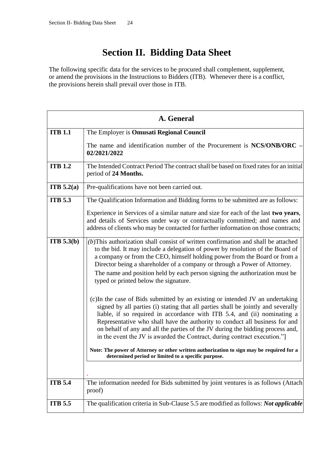## **Section II. Bidding Data Sheet**

<span id="page-27-0"></span>The following specific data for the services to be procured shall complement, supplement, or amend the provisions in the Instructions to Bidders (ITB). Whenever there is a conflict, the provisions herein shall prevail over those in ITB.

|                | A. General                                                                                                                                                                                                                                                                                                                                                                                                                                                                                                                                                                                                                                                                                                                                                                                                                                                                                                                                                |
|----------------|-----------------------------------------------------------------------------------------------------------------------------------------------------------------------------------------------------------------------------------------------------------------------------------------------------------------------------------------------------------------------------------------------------------------------------------------------------------------------------------------------------------------------------------------------------------------------------------------------------------------------------------------------------------------------------------------------------------------------------------------------------------------------------------------------------------------------------------------------------------------------------------------------------------------------------------------------------------|
| <b>ITB 1.1</b> | The Employer is Omusati Regional Council                                                                                                                                                                                                                                                                                                                                                                                                                                                                                                                                                                                                                                                                                                                                                                                                                                                                                                                  |
|                | The name and identification number of the Procurement is $NCS/ONB/ORC -$<br>02/2021/2022                                                                                                                                                                                                                                                                                                                                                                                                                                                                                                                                                                                                                                                                                                                                                                                                                                                                  |
| <b>ITB 1.2</b> | The Intended Contract Period The contract shall be based on fixed rates for an initial<br>period of 24 Months.                                                                                                                                                                                                                                                                                                                                                                                                                                                                                                                                                                                                                                                                                                                                                                                                                                            |
| ITB $5.2(a)$   | Pre-qualifications have not been carried out.                                                                                                                                                                                                                                                                                                                                                                                                                                                                                                                                                                                                                                                                                                                                                                                                                                                                                                             |
| <b>ITB 5.3</b> | The Qualification Information and Bidding forms to be submitted are as follows:                                                                                                                                                                                                                                                                                                                                                                                                                                                                                                                                                                                                                                                                                                                                                                                                                                                                           |
|                | Experience in Services of a similar nature and size for each of the last two years,<br>and details of Services under way or contractually committed; and names and<br>address of clients who may be contacted for further information on those contracts;                                                                                                                                                                                                                                                                                                                                                                                                                                                                                                                                                                                                                                                                                                 |
| ITB 5.3(b)     | $(b)$ This authorization shall consist of written confirmation and shall be attached<br>to the bid. It may include a delegation of power by resolution of the Board of<br>a company or from the CEO, himself holding power from the Board or from a<br>Director being a shareholder of a company or through a Power of Attorney.<br>The name and position held by each person signing the authorization must be<br>typed or printed below the signature.<br>(c) In the case of Bids submitted by an existing or intended JV an undertaking<br>signed by all parties (i) stating that all parties shall be jointly and severally<br>liable, if so required in accordance with ITB 5.4, and (ii) nominating a<br>Representative who shall have the authority to conduct all business for and<br>on behalf of any and all the parties of the JV during the bidding process and,<br>in the event the JV is awarded the Contract, during contract execution."] |
|                | Note: The power of Attorney or other written authorization to sign may be required for a<br>determined period or limited to a specific purpose.                                                                                                                                                                                                                                                                                                                                                                                                                                                                                                                                                                                                                                                                                                                                                                                                           |
| <b>ITB 5.4</b> | The information needed for Bids submitted by joint ventures is as follows (Attach<br>proof)                                                                                                                                                                                                                                                                                                                                                                                                                                                                                                                                                                                                                                                                                                                                                                                                                                                               |
| <b>ITB</b> 5.5 | The qualification criteria in Sub-Clause 5.5 are modified as follows: Not applicable                                                                                                                                                                                                                                                                                                                                                                                                                                                                                                                                                                                                                                                                                                                                                                                                                                                                      |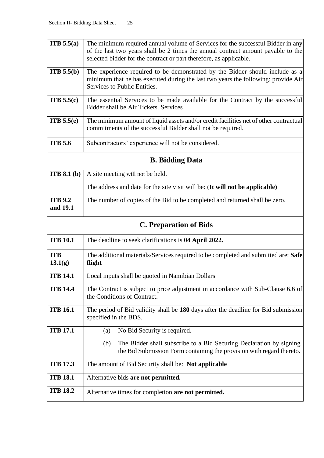| <b>ITB</b> $5.5(a)$        | The minimum required annual volume of Services for the successful Bidder in any<br>of the last two years shall be 2 times the annual contract amount payable to the                               |  |
|----------------------------|---------------------------------------------------------------------------------------------------------------------------------------------------------------------------------------------------|--|
|                            | selected bidder for the contract or part therefore, as applicable.                                                                                                                                |  |
| ITB 5.5(b)                 | The experience required to be demonstrated by the Bidder should include as a<br>minimum that he has executed during the last two years the following: provide Air<br>Services to Public Entities. |  |
| <b>ITB</b> $5.5(c)$        | The essential Services to be made available for the Contract by the successful<br>Bidder shall be Air Tickets. Services                                                                           |  |
| ITB 5.5(e)                 | The minimum amount of liquid assets and/or credit facilities net of other contractual<br>commitments of the successful Bidder shall not be required.                                              |  |
| <b>ITB 5.6</b>             | Subcontractors' experience will not be considered.                                                                                                                                                |  |
|                            | <b>B.</b> Bidding Data                                                                                                                                                                            |  |
| ITB 8.1 <sub>(b)</sub>     | A site meeting will not be held.                                                                                                                                                                  |  |
|                            | The address and date for the site visit will be: (It will not be applicable)                                                                                                                      |  |
| <b>ITB 9.2</b><br>and 19.1 | The number of copies of the Bid to be completed and returned shall be zero.                                                                                                                       |  |
|                            | <b>C. Preparation of Bids</b>                                                                                                                                                                     |  |
| <b>ITB 10.1</b>            | The deadline to seek clarifications is 04 April 2022.                                                                                                                                             |  |
| <b>ITB</b><br>13.1(g)      | The additional materials/Services required to be completed and submitted are: Safe<br>flight                                                                                                      |  |
| <b>ITB 14.1</b>            | Local inputs shall be quoted in Namibian Dollars                                                                                                                                                  |  |
| <b>ITB 14.4</b>            | The Contract is subject to price adjustment in accordance with Sub-Clause 6.6 of<br>the Conditions of Contract.                                                                                   |  |
| <b>ITB 16.1</b>            | The period of Bid validity shall be 180 days after the deadline for Bid submission<br>specified in the BDS.                                                                                       |  |
| <b>ITB 17.1</b>            | No Bid Security is required.<br>(a)                                                                                                                                                               |  |
|                            | The Bidder shall subscribe to a Bid Securing Declaration by signing<br>(b)<br>the Bid Submission Form containing the provision with regard thereto.                                               |  |
| <b>ITB 17.3</b>            | The amount of Bid Security shall be: Not applicable                                                                                                                                               |  |
| <b>ITB 18.1</b>            | Alternative bids are not permitted.                                                                                                                                                               |  |
| <b>ITB 18.2</b>            | Alternative times for completion are not permitted.                                                                                                                                               |  |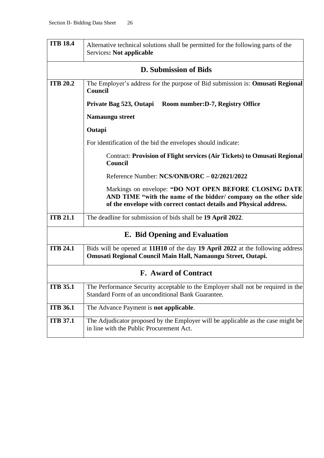| <b>ITB 18.4</b> | Alternative technical solutions shall be permitted for the following parts of the<br>Services: Not applicable                                                                                    |  |  |
|-----------------|--------------------------------------------------------------------------------------------------------------------------------------------------------------------------------------------------|--|--|
|                 | <b>D.</b> Submission of Bids                                                                                                                                                                     |  |  |
| <b>ITB 20.2</b> | The Employer's address for the purpose of Bid submission is: Omusati Regional<br><b>Council</b>                                                                                                  |  |  |
|                 | Private Bag 523, Outapi<br>Room number: D-7, Registry Office                                                                                                                                     |  |  |
|                 | Namaungu street                                                                                                                                                                                  |  |  |
|                 | Outapi                                                                                                                                                                                           |  |  |
|                 | For identification of the bid the envelopes should indicate:                                                                                                                                     |  |  |
|                 | <b>Contract: Provision of Flight services (Air Tickets) to Omusati Regional</b><br>Council                                                                                                       |  |  |
|                 | Reference Number: NCS/ONB/ORC - 02/2021/2022                                                                                                                                                     |  |  |
|                 | Markings on envelope: "DO NOT OPEN BEFORE CLOSING DATE<br>AND TIME "with the name of the bidder/ company on the other side<br>of the envelope with correct contact details and Physical address. |  |  |
| <b>ITB 21.1</b> | The deadline for submission of bids shall be 19 April 2022.                                                                                                                                      |  |  |
|                 | <b>E.</b> Bid Opening and Evaluation                                                                                                                                                             |  |  |
| <b>ITB 24.1</b> | Bids will be opened at 11H10 of the day 19 April 2022 at the following address<br>Omusati Regional Council Main Hall, Namaungu Street, Outapi.                                                   |  |  |
|                 | <b>F.</b> Award of Contract                                                                                                                                                                      |  |  |
| <b>ITB 35.1</b> | The Performance Security acceptable to the Employer shall not be required in the<br>Standard Form of an unconditional Bank Guarantee.                                                            |  |  |
| <b>ITB 36.1</b> | The Advance Payment is not applicable.                                                                                                                                                           |  |  |
| <b>ITB 37.1</b> | The Adjudicator proposed by the Employer will be applicable as the case might be<br>in line with the Public Procurement Act.                                                                     |  |  |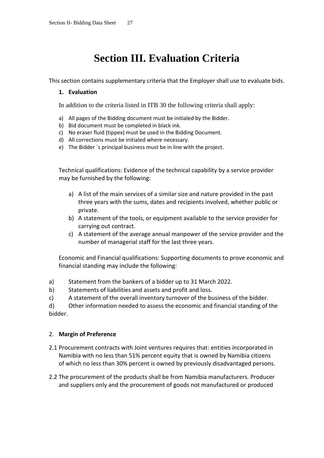## **Section III. Evaluation Criteria**

This section contains supplementary criteria that the Employer shall use to evaluate bids.

### **1. Evaluation**

In addition to the criteria listed in ITB 30 the following criteria shall apply:

- a) All pages of the Bidding document must be initialed by the Bidder.
- b) Bid document must be completed in black ink.
- c) No eraser fluid (tippex) must be used in the Bidding Document.
- d) All corrections must be initialed where necessary.
- e) The Bidder `s principal business must be in line with the project.

Technical qualifications: Evidence of the technical capability by a service provider may be furnished by the following:

- a) A list of the main services of a similar size and nature provided in the past three years with the sums, dates and recipients involved, whether public or private.
- b) A statement of the tools, or equipment available to the service provider for carrying out contract.
- c) A statement of the average annual manpower of the service provider and the number of managerial staff for the last three years.

Economic and Financial qualifications: Supporting documents to prove economic and financial standing may include the following:

- a) Statement from the bankers of a bidder up to 31 March 2022.
- b) Statements of liabilities and assets and profit and loss.
- c) A statement of the overall inventory turnover of the business of the bidder.

d) Other information needed to assess the economic and financial standing of the bidder.

### 2. **Margin of Preference**

- 2.1 Procurement contracts with Joint ventures requires that: entities incorporated in Namibia with no less than 51% percent equity that is owned by Namibia citizens of which no less than 30% percent is owned by previously disadvantaged persons.
- 2.2 The procurement of the products shall be from Namibia manufacturers. Producer and suppliers only and the procurement of goods not manufactured or produced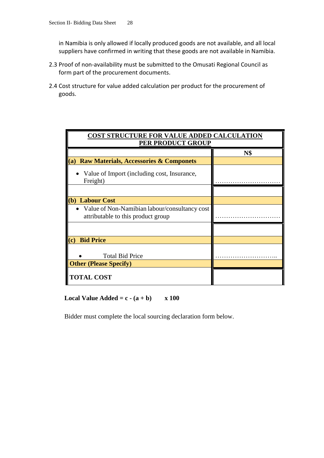in Namibia is only allowed if locally produced goods are not available, and all local suppliers have confirmed in writing that these goods are not available in Namibia.

- 2.3 Proof of non-availability must be submitted to the Omusati Regional Council as form part of the procurement documents.
- 2.4 Cost structure for value added calculation per product for the procurement of goods.

| <b>COST STRUCTURE FOR VALUE ADDED CALCULATION</b>                                   |            |  |
|-------------------------------------------------------------------------------------|------------|--|
| PER PRODUCT GROUP                                                                   |            |  |
|                                                                                     | <b>N\$</b> |  |
| <b>Raw Materials, Accessories &amp; Componets</b><br>(a)                            |            |  |
| • Value of Import (including cost, Insurance,<br>Freight)                           |            |  |
|                                                                                     |            |  |
| (b) Labour Cost                                                                     |            |  |
| Value of Non-Namibian labour/consultancy cost<br>attributable to this product group |            |  |
|                                                                                     |            |  |
| (c)<br><b>Bid Price</b>                                                             |            |  |
| <b>Total Bid Price</b><br><b>Other (Please Specify)</b>                             |            |  |
| <b>TOTAL COST</b>                                                                   |            |  |

**Local Value Added = c -**  $(a + b)$  **x 100** 

Bidder must complete the local sourcing declaration form below.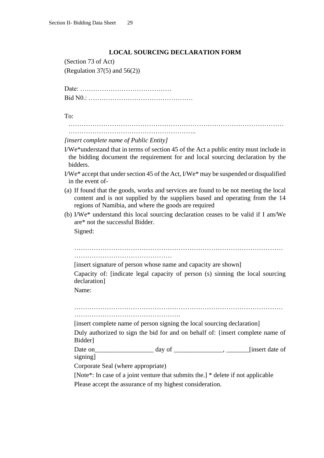#### **LOCAL SOURCING DECLARATION FORM**

(Section 73 of Act) (Regulation 37 $(5)$  and 56 $(2)$ )

Date: …………………………………… Bid N0.: …………………………………………

To:

……………………………………………………………………………………… …………………………………………………..

*[insert complete name of Public Entity]*

- I/We\*understand that in terms of section 45 of the Act a public entity must include in the bidding document the requirement for and local sourcing declaration by the bidders.
- I/We\* accept that under section 45 of the Act, I/We\* may be suspended or disqualified in the event of-
- (a) If found that the goods, works and services are found to be not meeting the local content and is not supplied by the suppliers based and operating from the 14 regions of Namibia, and where the goods are required
- (b) I/We\* understand this local sourcing declaration ceases to be valid if I am/We are\* not the successful Bidder.

Signed:

…………………………………………………………………………………… ………………………………………

[insert signature of person whose name and capacity are shown]

Capacity of: [indicate legal capacity of person (s) sinning the local sourcing declaration]

Name:

……………………………………………………………………………………

………………………………………….

[insert complete name of person signing the local sourcing declaration]

Duly authorized to sign the bid for and on behalf of: {insert complete name of Bidder]

Date on\_\_\_\_\_\_\_\_\_\_\_\_\_\_\_\_\_\_ day of \_\_\_\_\_\_\_\_\_\_\_\_\_\_\_, \_\_\_\_\_\_\_[insert date of signing]

Corporate Seal (where appropriate)

[Note\*: In case of a joint venture that submits the.] \* delete if not applicable Please accept the assurance of my highest consideration.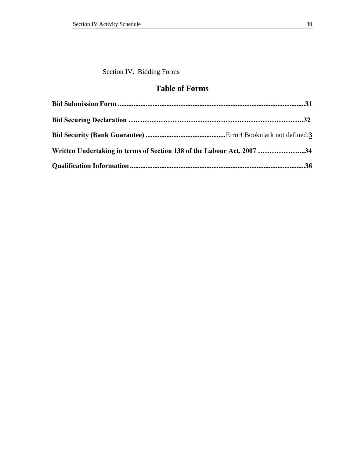<span id="page-33-0"></span>Section IV. Bidding Forms

### **Table of Forms**

| Written Undertaking in terms of Section 138 of the Labour Act, 2007 34 |  |
|------------------------------------------------------------------------|--|
|                                                                        |  |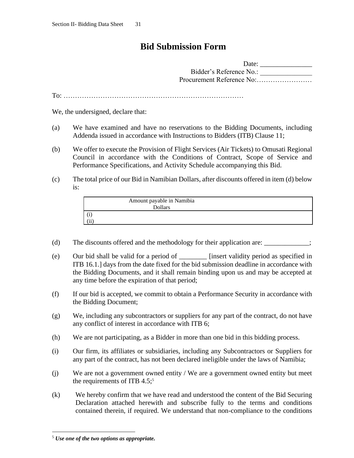### <span id="page-34-0"></span>**Bid Submission Form**

| Date:                     |
|---------------------------|
| Bidder's Reference No.:   |
| Procurement Reference No: |

To: ……………………………………………………………………

We, the undersigned, declare that:

- (a) We have examined and have no reservations to the Bidding Documents, including Addenda issued in accordance with Instructions to Bidders (ITB) Clause 11;
- (b) We offer to execute the Provision of Flight Services (Air Tickets) to Omusati Regional Council in accordance with the Conditions of Contract, Scope of Service and Performance Specifications, and Activity Schedule accompanying this Bid.
- (c) The total price of our Bid in Namibian Dollars, after discounts offered in item (d) below is:

| Amount payable in Namibia |  |
|---------------------------|--|
| <b>Dollars</b>            |  |
|                           |  |
| (11                       |  |

- (d) The discounts offered and the methodology for their application are:  $\ddot{\hspace{1cm}}$ :
- (e) Our bid shall be valid for a period of \_\_\_\_\_\_\_\_ [insert validity period as specified in ITB 16.1.] days from the date fixed for the bid submission deadline in accordance with the Bidding Documents, and it shall remain binding upon us and may be accepted at any time before the expiration of that period;
- (f) If our bid is accepted, we commit to obtain a Performance Security in accordance with the Bidding Document;
- (g) We, including any subcontractors or suppliers for any part of the contract, do not have any conflict of interest in accordance with ITB 6;
- (h) We are not participating, as a Bidder in more than one bid in this bidding process.
- (i) Our firm, its affiliates or subsidiaries, including any Subcontractors or Suppliers for any part of the contract, has not been declared ineligible under the laws of Namibia;
- (j) We are not a government owned entity / We are a government owned entity but meet the requirements of ITB  $4.5$ ;<sup>5</sup>
- (k) We hereby confirm that we have read and understood the content of the Bid Securing Declaration attached herewith and subscribe fully to the terms and conditions contained therein, if required. We understand that non-compliance to the conditions

<sup>5</sup> *Use one of the two options as appropriate.*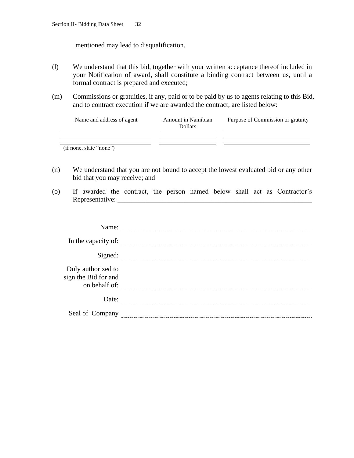mentioned may lead to disqualification.

- (l) We understand that this bid, together with your written acceptance thereof included in your Notification of award, shall constitute a binding contract between us, until a formal contract is prepared and executed;
- (m) Commissions or gratuities, if any, paid or to be paid by us to agents relating to this Bid, and to contract execution if we are awarded the contract, are listed below:

| Name and address of agent | Amount in Namibian<br><b>Dollars</b> | Purpose of Commission or gratuity |
|---------------------------|--------------------------------------|-----------------------------------|
|                           |                                      |                                   |
| (if none, state "none")   |                                      |                                   |

- (n) We understand that you are not bound to accept the lowest evaluated bid or any other bid that you may receive; and
- (o) If awarded the contract, the person named below shall act as Contractor's Representative: \_\_\_\_\_\_\_\_\_\_\_\_\_\_\_\_\_\_\_\_\_\_\_\_\_\_\_\_\_\_\_\_\_\_\_\_\_\_\_\_\_\_\_\_\_\_\_\_\_\_\_\_\_\_\_\_

| Name:                                                       |  |
|-------------------------------------------------------------|--|
| In the capacity of:                                         |  |
| Signed:                                                     |  |
| Duly authorized to<br>sign the Bid for and<br>on behalf of: |  |
| Date:                                                       |  |
| Seal of Company                                             |  |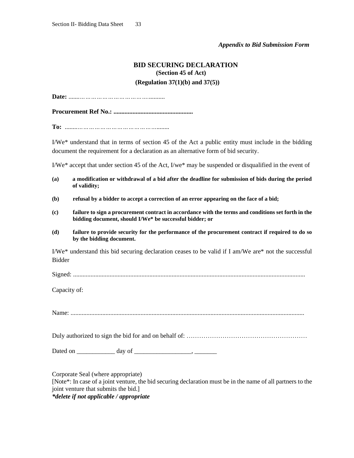#### *Appendix to Bid Submission Form*

### **BID SECURING DECLARATION (Section 45 of Act) (Regulation 37(1)(b) and 37(5))**

**Date:** .......*………………………………...........*

**Procurement Ref No.: ..................................................**

**To:** ........*……………………………………........*

I/We\* understand that in terms of section 45 of the Act a public entity must include in the bidding document the requirement for a declaration as an alternative form of bid security.

I/We\* accept that under section 45 of the Act, I/we\* may be suspended or disqualified in the event of

- **(a) a modification or withdrawal of a bid after the deadline for submission of bids during the period of validity;**
- **(b) refusal by a bidder to accept a correction of an error appearing on the face of a bid;**
- **(c) failure to sign a procurement contract in accordance with the terms and conditions set forth in the bidding document, should I/We\* be successful bidder; or**
- **(d) failure to provide security for the performance of the procurement contract if required to do so by the bidding document.**

I/We\* understand this bid securing declaration ceases to be valid if I am/We are\* not the successful Bidder

Signed: ..................................................................................................................................................

Capacity of:

Name: ...................................................................................................................................................

Duly authorized to sign the bid for and on behalf of: …………………………………………………

Dated on \_\_\_\_\_\_\_\_\_\_\_\_ day of \_\_\_\_\_\_\_\_\_\_\_\_\_\_\_\_\_\_, \_\_\_\_\_\_\_

Corporate Seal (where appropriate)

[Note\*: In case of a joint venture, the bid securing declaration must be in the name of all partners to the joint venture that submits the bid.]

*\*delete if not applicable / appropriate*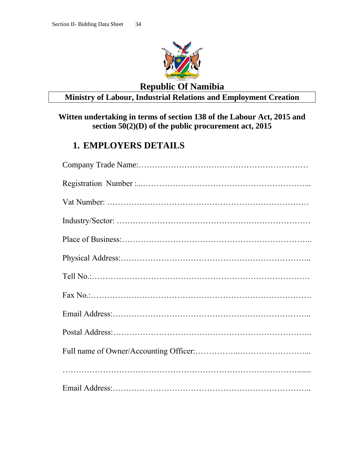

### **Republic Of Namibia**

### **Ministry of Labour, Industrial Relations and Employment Creation**

### <span id="page-37-0"></span>**Witten undertaking in terms of section 138 of the Labour Act, 2015 and section 50(2)(D) of the public procurement act, 2015**

### **1. EMPLOYERS DETAILS**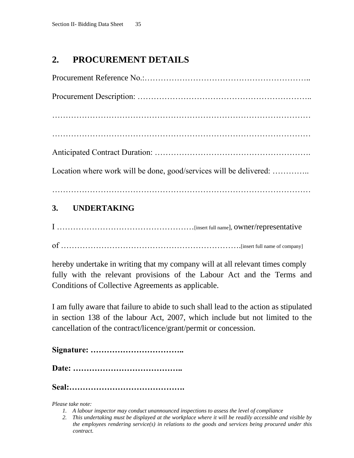### **2. PROCUREMENT DETAILS**

| Location where work will be done, good/services will be delivered: |
|--------------------------------------------------------------------|
|                                                                    |
| $\sim$ $\sim$ $\sim$ $\sim$ $\sim$ $\sim$ $\sim$ $\sim$            |

### **3. UNDERTAKING**

I ……………………………………………[insert full name], owner/representative of ………………………………………………………….[insert full name of company]

hereby undertake in writing that my company will at all relevant times comply fully with the relevant provisions of the Labour Act and the Terms and Conditions of Collective Agreements as applicable.

I am fully aware that failure to abide to such shall lead to the action as stipulated in section 138 of the labour Act, 2007, which include but not limited to the cancellation of the contract/licence/grant/permit or concession.

**Signature: ……………………………..**

**Date: …………………………………..**

**Seal:…………………………………….**

*Please take note:*

- *1. A labour inspector may conduct unannounced inspections to assess the level of compliance*
- *2. This undertaking must be displayed at the workplace where it will be readily accessible and visible by the employees rendering service(s) in relations to the goods and services being procured under this contract.*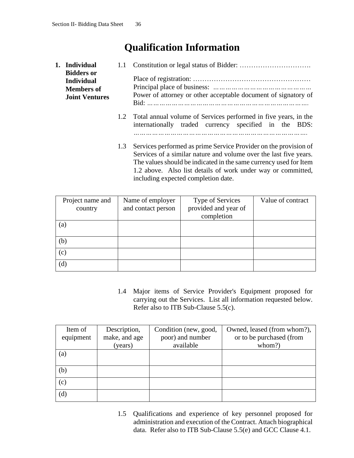## **Qualification Information**

<span id="page-39-0"></span>

| 1. Individual                                                                        | 1.1 |                                                                                                                                                                                                                                                                                                                   |  |  |  |  |
|--------------------------------------------------------------------------------------|-----|-------------------------------------------------------------------------------------------------------------------------------------------------------------------------------------------------------------------------------------------------------------------------------------------------------------------|--|--|--|--|
| <b>Bidders or</b><br><b>Individual</b><br><b>Members of</b><br><b>Joint Ventures</b> |     | Power of attorney or other acceptable document of signatory of                                                                                                                                                                                                                                                    |  |  |  |  |
|                                                                                      |     | 1.2 Total annual volume of Services performed in five years, in the<br>internationally traded currency specified in the BDS:                                                                                                                                                                                      |  |  |  |  |
|                                                                                      | 1.3 | Services performed as prime Service Provider on the provision of<br>Services of a similar nature and volume over the last five years.<br>The values should be indicated in the same currency used for Item<br>1.2 above. Also list details of work under way or committed,<br>including expected completion date. |  |  |  |  |

| Project name and | Name of employer   | Type of Services     | Value of contract |
|------------------|--------------------|----------------------|-------------------|
| country          | and contact person | provided and year of |                   |
|                  |                    | completion           |                   |
| (a)              |                    |                      |                   |
| (b)              |                    |                      |                   |
|                  |                    |                      |                   |
| (c)              |                    |                      |                   |
| (d)              |                    |                      |                   |

1.4 Major items of Service Provider's Equipment proposed for carrying out the Services. List all information requested below. Refer also to ITB Sub-Clause 5.5(c).

| Item of   | Description,  | Condition (new, good, | Owned, leased (from whom?), |
|-----------|---------------|-----------------------|-----------------------------|
| equipment | make, and age | poor) and number      | or to be purchased (from    |
|           | (years)       | available             | whom?)                      |
| (a)       |               |                       |                             |
| (b)       |               |                       |                             |
| (c)       |               |                       |                             |
| (d)       |               |                       |                             |

1.5 Qualifications and experience of key personnel proposed for administration and execution of the Contract. Attach biographical data. Refer also to ITB Sub-Clause 5.5(e) and GCC Clause 4.1.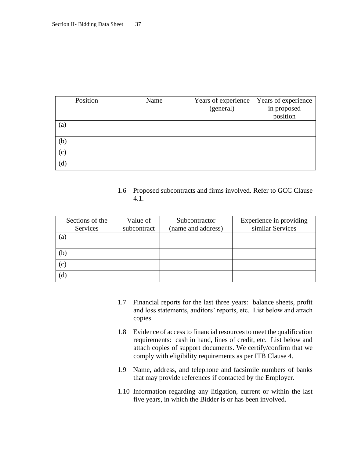| Position | Name | Years of experience | Years of experience |
|----------|------|---------------------|---------------------|
|          |      | (general)           | in proposed         |
|          |      |                     | position            |
| (a)      |      |                     |                     |
| (b)      |      |                     |                     |
| (c)      |      |                     |                     |
| (d)      |      |                     |                     |

### 1.6 Proposed subcontracts and firms involved. Refer to GCC Clause 4.1.

| Sections of the<br>Services | Value of<br>subcontract | Subcontractor<br>(name and address) | Experience in providing<br>similar Services |
|-----------------------------|-------------------------|-------------------------------------|---------------------------------------------|
| (a)                         |                         |                                     |                                             |
| (b)                         |                         |                                     |                                             |
| (c)                         |                         |                                     |                                             |
| (d)                         |                         |                                     |                                             |

- 1.7 Financial reports for the last three years: balance sheets, profit and loss statements, auditors' reports, etc. List below and attach copies.
- 1.8 Evidence of access to financial resources to meet the qualification requirements: cash in hand, lines of credit, etc. List below and attach copies of support documents. We certify/confirm that we comply with eligibility requirements as per ITB Clause 4.
- 1.9 Name, address, and telephone and facsimile numbers of banks that may provide references if contacted by the Employer.
- 1.10 Information regarding any litigation, current or within the last five years, in which the Bidder is or has been involved.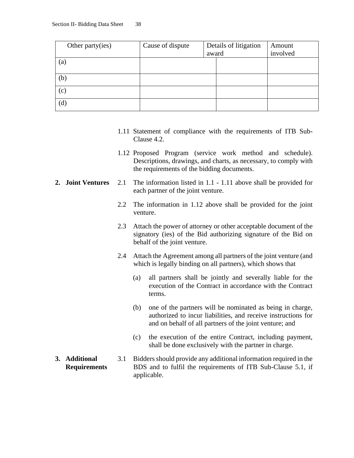| Other party(ies) | Cause of dispute | Details of litigation<br>award |  | Amount   |
|------------------|------------------|--------------------------------|--|----------|
|                  |                  |                                |  | involved |
| (a)              |                  |                                |  |          |
|                  |                  |                                |  |          |
| (b)              |                  |                                |  |          |
| (c)              |                  |                                |  |          |
| (d)              |                  |                                |  |          |

- 1.11 Statement of compliance with the requirements of ITB Sub-Clause 4.2.
- 1.12 Proposed Program (service work method and schedule). Descriptions, drawings, and charts, as necessary, to comply with the requirements of the bidding documents.
- **2. Joint Ventures** 2.1 The information listed in 1.1 1.11 above shall be provided for each partner of the joint venture.
	- 2.2 The information in 1.12 above shall be provided for the joint venture.
	- 2.3 Attach the power of attorney or other acceptable document of the signatory (ies) of the Bid authorizing signature of the Bid on behalf of the joint venture.
	- 2.4 Attach the Agreement among all partners of the joint venture (and which is legally binding on all partners), which shows that
		- (a) all partners shall be jointly and severally liable for the execution of the Contract in accordance with the Contract terms.
		- (b) one of the partners will be nominated as being in charge, authorized to incur liabilities, and receive instructions for and on behalf of all partners of the joint venture; and
		- (c) the execution of the entire Contract, including payment, shall be done exclusively with the partner in charge.
- **3. Additional Requirements** 3.1 Bidders should provide any additional information required in the BDS and to fulfil the requirements of ITB Sub-Clause 5.1, if applicable.
-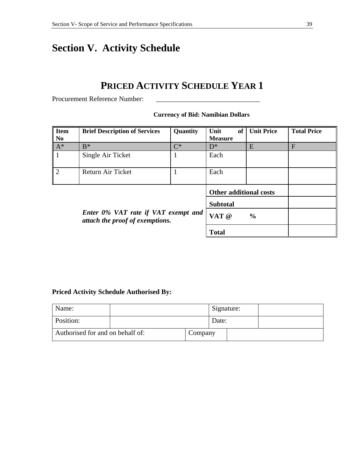## <span id="page-42-0"></span>**Section V. Activity Schedule**

## **PRICED ACTIVITY SCHEDULE YEAR 1**

Procurement Reference Number:

**Currency of Bid: Namibian Dollars**

| <b>Item</b><br>N <sub>0</sub> | <b>Brief Description of Services</b>                                   | Quantity                      | Unit<br>of<br><b>Measure</b> | <b>Unit Price</b> | <b>Total Price</b> |
|-------------------------------|------------------------------------------------------------------------|-------------------------------|------------------------------|-------------------|--------------------|
| $A^*$                         | $B^*$                                                                  | $C^*$                         | $D^*$                        | E                 | F                  |
| $\mathbf{1}$                  | Single Air Ticket                                                      |                               | Each                         |                   |                    |
| $\overline{2}$                | Return Air Ticket                                                      |                               | Each                         |                   |                    |
|                               |                                                                        | <b>Other additional costs</b> |                              |                   |                    |
|                               |                                                                        |                               | <b>Subtotal</b>              |                   |                    |
|                               | Enter 0% VAT rate if VAT exempt and<br>attach the proof of exemptions. |                               |                              | $\frac{0}{0}$     |                    |
|                               |                                                                        | <b>Total</b>                  |                              |                   |                    |

### **Priced Activity Schedule Authorised By:**

| Name:     |                                             |  | Signature: |  |
|-----------|---------------------------------------------|--|------------|--|
| Position: |                                             |  | Date:      |  |
|           | Authorised for and on behalf of:<br>Company |  |            |  |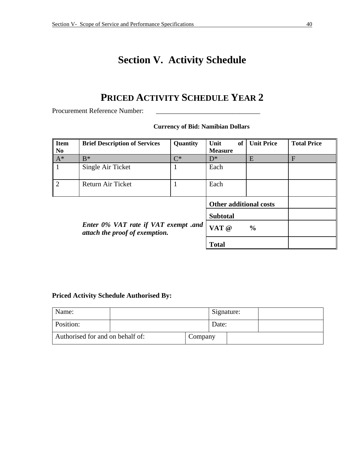## **Section V. Activity Schedule**

## **PRICED ACTIVITY SCHEDULE YEAR 2**

Procurement Reference Number:

| <b>Item</b><br>N <sub>0</sub> | <b>Brief Description of Services</b>                                   | Quantity | Unit<br>of<br><b>Measure</b>  | <b>Unit Price</b> | <b>Total Price</b> |
|-------------------------------|------------------------------------------------------------------------|----------|-------------------------------|-------------------|--------------------|
| $A^*$                         | $B^*$                                                                  | $C^*$    | $D^*$                         | E                 | F                  |
| $\mathbf{1}$                  | Single Air Ticket                                                      |          | Each                          |                   |                    |
| $\overline{2}$                | Return Air Ticket                                                      |          | Each                          |                   |                    |
|                               |                                                                        |          | <b>Other additional costs</b> |                   |                    |
|                               |                                                                        |          | <b>Subtotal</b>               |                   |                    |
|                               | Enter 0% VAT rate if VAT exempt .and<br>attach the proof of exemption. |          | VAT @                         | $\frac{0}{0}$     |                    |
|                               |                                                                        |          | <b>Total</b>                  |                   |                    |

#### **Currency of Bid: Namibian Dollars**

### **Priced Activity Schedule Authorised By:**

<span id="page-43-0"></span>

| Name:     |                                             |  | Signature: |  |
|-----------|---------------------------------------------|--|------------|--|
| Position: |                                             |  | Date:      |  |
|           | Authorised for and on behalf of:<br>Company |  |            |  |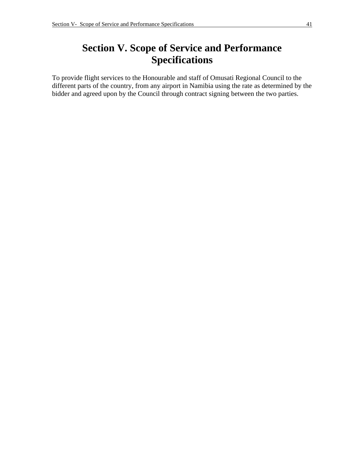## **Section V. Scope of Service and Performance Specifications**

To provide flight services to the Honourable and staff of Omusati Regional Council to the different parts of the country, from any airport in Namibia using the rate as determined by the bidder and agreed upon by the Council through contract signing between the two parties.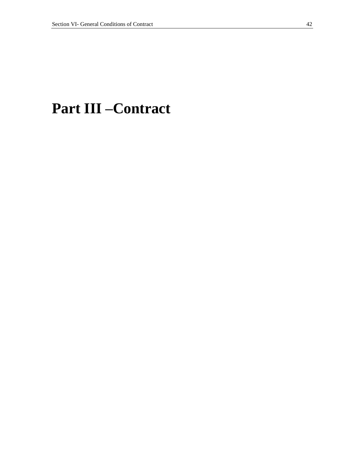## <span id="page-45-1"></span><span id="page-45-0"></span>**Part III –Contract**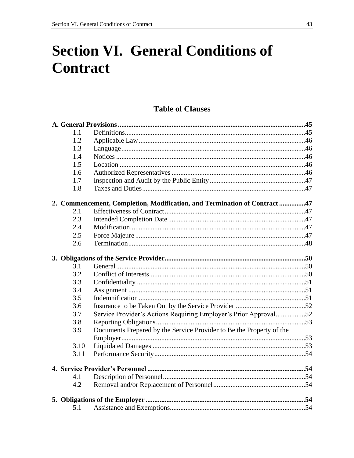# **Section VI. General Conditions of Contract**

### **Table of Clauses**

| 1.1  |                                                                          |  |
|------|--------------------------------------------------------------------------|--|
| 1.2  |                                                                          |  |
| 1.3  |                                                                          |  |
| 1.4  |                                                                          |  |
| 1.5  |                                                                          |  |
| 1.6  |                                                                          |  |
| 1.7  |                                                                          |  |
| 1.8  |                                                                          |  |
|      | 2. Commencement, Completion, Modification, and Termination of Contract47 |  |
| 2.1  |                                                                          |  |
| 2.3  |                                                                          |  |
| 2.4  |                                                                          |  |
| 2.5  |                                                                          |  |
| 2.6  |                                                                          |  |
|      |                                                                          |  |
| 3.1  |                                                                          |  |
| 3.2  |                                                                          |  |
| 3.3  |                                                                          |  |
| 3.4  |                                                                          |  |
| 3.5  |                                                                          |  |
| 3.6  |                                                                          |  |
| 3.7  | Service Provider's Actions Requiring Employer's Prior Approval52         |  |
| 3.8  |                                                                          |  |
| 3.9  | Documents Prepared by the Service Provider to Be the Property of the     |  |
|      |                                                                          |  |
| 3.10 |                                                                          |  |
| 3.11 |                                                                          |  |
|      |                                                                          |  |
| 4.1  |                                                                          |  |
| 4.2  |                                                                          |  |
|      |                                                                          |  |
| 5.1  |                                                                          |  |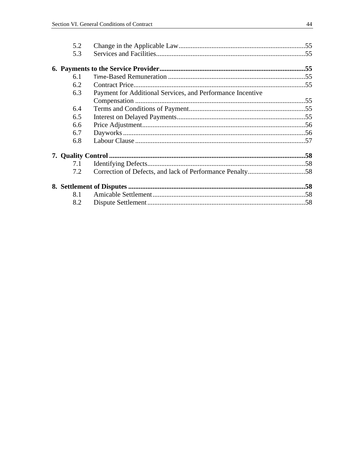| 5.2 |                                                            |  |
|-----|------------------------------------------------------------|--|
| 5.3 |                                                            |  |
|     |                                                            |  |
| 6.1 |                                                            |  |
| 6.2 |                                                            |  |
| 6.3 | Payment for Additional Services, and Performance Incentive |  |
|     |                                                            |  |
| 6.4 |                                                            |  |
| 6.5 |                                                            |  |
| 6.6 |                                                            |  |
| 6.7 |                                                            |  |
| 6.8 |                                                            |  |
|     |                                                            |  |
| 7.1 |                                                            |  |
| 7.2 |                                                            |  |
|     |                                                            |  |
| 8.1 |                                                            |  |
| 8.2 |                                                            |  |
|     |                                                            |  |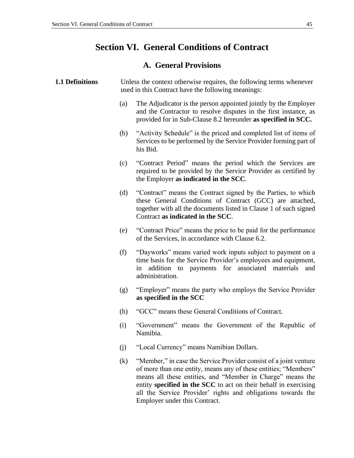### **Section VI. General Conditions of Contract**

### **A. General Provisions**

#### <span id="page-48-1"></span><span id="page-48-0"></span>**1.1 Definitions** Unless the context otherwise requires, the following terms whenever used in this Contract have the following meanings:

- (a) The Adjudicator is the person appointed jointly by the Employer and the Contractor to resolve disputes in the first instance, as provided for in Sub-Clause 8.2 hereunder **as specified in SCC.**
- (b) "Activity Schedule" is the priced and completed list of items of Services to be performed by the Service Provider forming part of his Bid.
- (c) "Contract Period" means the period which the Services are required to be provided by the Service Provider as certified by the Employer **as indicated in the SCC**.
- (d) "Contract" means the Contract signed by the Parties, to which these General Conditions of Contract (GCC) are attached, together with all the documents listed in Clause 1 of such signed Contract **as indicated in the SCC**.
- (e) "Contract Price" means the price to be paid for the performance of the Services, in accordance with Clause 6.2.
- (f) "Dayworks" means varied work inputs subject to payment on a time basis for the Service Provider's employees and equipment, in addition to payments for associated materials and administration.
- (g) "Employer" means the party who employs the Service Provider **as specified in the SCC**
- (h) "GCC" means these General Conditions of Contract.
- (i) "Government" means the Government of the Republic of Namibia.
- (j) "Local Currency" means Namibian Dollars.
- (k) "Member," in case the Service Provider consist of a joint venture of more than one entity, means any of these entities; "Members" means all these entities, and "Member in Charge" means the entity **specified in the SCC** to act on their behalf in exercising all the Service Provider' rights and obligations towards the Employer under this Contract.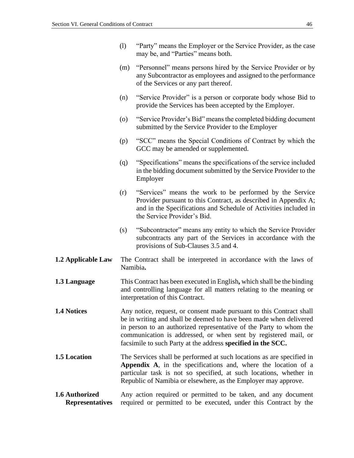- (l) "Party" means the Employer or the Service Provider, as the case may be, and "Parties" means both.
- (m) "Personnel" means persons hired by the Service Provider or by any Subcontractor as employees and assigned to the performance of the Services or any part thereof.
- (n) "Service Provider" is a person or corporate body whose Bid to provide the Services has been accepted by the Employer.
- (o) "Service Provider's Bid" means the completed bidding document submitted by the Service Provider to the Employer
- (p) "SCC" means the Special Conditions of Contract by which the GCC may be amended or supplemented.
- (q) "Specifications" means the specifications of the service included in the bidding document submitted by the Service Provider to the Employer
- (r) "Services" means the work to be performed by the Service Provider pursuant to this Contract, as described in Appendix A; and in the Specifications and Schedule of Activities included in the Service Provider's Bid.
- (s) "Subcontractor" means any entity to which the Service Provider subcontracts any part of the Services in accordance with the provisions of Sub-Clauses 3.5 and 4.
- <span id="page-49-0"></span>**1.2 Applicable Law** The Contract shall be interpreted in accordance with the laws of Namibia**.**
- <span id="page-49-1"></span>**1.3 Language** This Contract has been executed in English**,** which shall be the binding and controlling language for all matters relating to the meaning or interpretation of this Contract.
- <span id="page-49-2"></span>**1.4** Notices Any notice, request, or consent made pursuant to this Contract shall be in writing and shall be deemed to have been made when delivered in person to an authorized representative of the Party to whom the communication is addressed, or when sent by registered mail, or facsimile to such Party at the address **specified in the SCC.**
- <span id="page-49-3"></span>**1.5** Location The Services shall be performed at such locations as are specified in **Appendix A**, in the specifications and, where the location of a particular task is not so specified, at such locations, whether in Republic of Namibia or elsewhere, as the Employer may approve.
- <span id="page-49-4"></span>**1.6 Authorized Representatives** Any action required or permitted to be taken, and any document required or permitted to be executed, under this Contract by the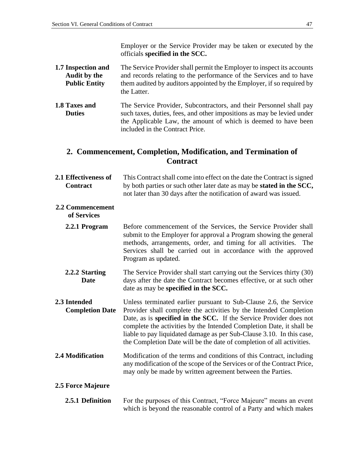Employer or the Service Provider may be taken or executed by the officials **specified in the SCC.**

- <span id="page-50-0"></span>**1.7 Inspection and Audit by the Public Entity** The Service Provider shall permit the Employer to inspect its accounts and records relating to the performance of the Services and to have them audited by auditors appointed by the Employer, if so required by the Latter.
- <span id="page-50-1"></span>**1.8 Taxes and Duties** The Service Provider, Subcontractors, and their Personnel shall pay such taxes, duties, fees, and other impositions as may be levied under the Applicable Law, the amount of which is deemed to have been included in the Contract Price.

### <span id="page-50-2"></span>**2. Commencement, Completion, Modification, and Termination of Contract**

<span id="page-50-3"></span>

| 2.1 Effectiveness of | This Contract shall come into effect on the date the Contract is signed       |
|----------------------|-------------------------------------------------------------------------------|
| <b>Contract</b>      | by both parties or such other later date as may be <b>stated in the SCC</b> , |
|                      | not later than 30 days after the notification of award was issued.            |
|                      |                                                                               |

### **2.2 Commencement**

**of Services**

- **2.2.1 Program** Before commencement of the Services, the Service Provider shall submit to the Employer for approval a Program showing the general methods, arrangements, order, and timing for all activities. The Services shall be carried out in accordance with the approved Program as updated.
- **2.2.2 Starting Date**  The Service Provider shall start carrying out the Services thirty (30) days after the date the Contract becomes effective, or at such other date as may be **specified in the SCC.**
- <span id="page-50-4"></span>**2.3 Intended Completion Date** Unless terminated earlier pursuant to Sub-Clause 2.6, the Service Provider shall complete the activities by the Intended Completion Date, as is **specified in the SCC.** If the Service Provider does not complete the activities by the Intended Completion Date, it shall be liable to pay liquidated damage as per Sub-Clause 3.10. In this case, the Completion Date will be the date of completion of all activities.
- <span id="page-50-5"></span>**2.4 Modification** Modification of the terms and conditions of this Contract, including any modification of the scope of the Services or of the Contract Price, may only be made by written agreement between the Parties.

### <span id="page-50-6"></span>**2.5 Force Majeure**

**2.5.1 Definition** For the purposes of this Contract, "Force Majeure" means an event which is beyond the reasonable control of a Party and which makes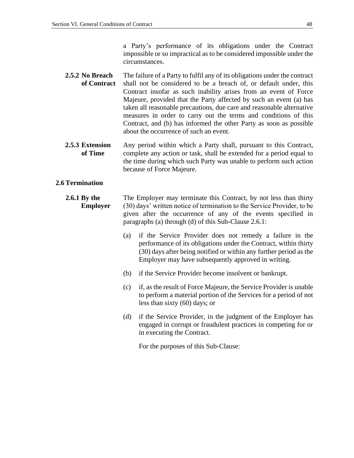a Party's performance of its obligations under the Contract impossible or so impractical as to be considered impossible under the circumstances.

- **2.5.2 No Breach of Contract** The failure of a Party to fulfil any of its obligations under the contract shall not be considered to be a breach of, or default under, this Contract insofar as such inability arises from an event of Force Majeure, provided that the Party affected by such an event (a) has taken all reasonable precautions, due care and reasonable alternative measures in order to carry out the terms and conditions of this Contract, and (b) has informed the other Party as soon as possible about the occurrence of such an event.
- **2.5.3 Extension of Time** Any period within which a Party shall, pursuant to this Contract, complete any action or task, shall be extended for a period equal to the time during which such Party was unable to perform such action because of Force Majeure.

#### <span id="page-51-0"></span>**2.6 Termination**

#### **2.6.1 By the Employer** The Employer may terminate this Contract, by not less than thirty (30) days' written notice of termination to the Service Provider, to be given after the occurrence of any of the events specified in paragraphs (a) through (d) of this Sub-Clause 2.6.1:

- (a) if the Service Provider does not remedy a failure in the performance of its obligations under the Contract, within thirty (30) days after being notified or within any further period as the Employer may have subsequently approved in writing.
- (b) if the Service Provider become insolvent or bankrupt.
- (c) if, as the result of Force Majeure, the Service Provider is unable to perform a material portion of the Services for a period of not less than sixty (60) days; or
- (d) if the Service Provider, in the judgment of the Employer has engaged in corrupt or fraudulent practices in competing for or in executing the Contract.

For the purposes of this Sub-Clause: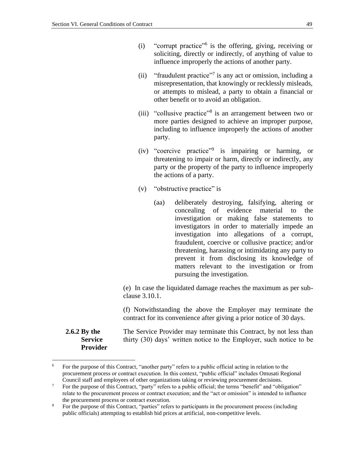- (i) "corrupt practice"<sup>6</sup> is the offering, giving, receiving or soliciting, directly or indirectly, of anything of value to influence improperly the actions of another party.
- (ii) "fraudulent practice"<sup>7</sup> is any act or omission, including a misrepresentation, that knowingly or recklessly misleads, or attempts to mislead, a party to obtain a financial or other benefit or to avoid an obligation.
- (iii) "collusive practice"<sup>8</sup> is an arrangement between two or more parties designed to achieve an improper purpose, including to influence improperly the actions of another party.
- (iv) "coercive practice"<sup>9</sup> is impairing or harming, or threatening to impair or harm, directly or indirectly, any party or the property of the party to influence improperly the actions of a party.
- (v) "obstructive practice" is
	- (aa) deliberately destroying, falsifying, altering or concealing of evidence material to the investigation or making false statements to investigators in order to materially impede an investigation into allegations of a corrupt, fraudulent, coercive or collusive practice; and/or threatening, harassing or intimidating any party to prevent it from disclosing its knowledge of matters relevant to the investigation or from pursuing the investigation.

(e) In case the liquidated damage reaches the maximum as per subclause 3.10.1.

(f) Notwithstanding the above the Employer may terminate the contract for its convenience after giving a prior notice of 30 days.

The Service Provider may terminate this Contract, by not less than thirty (30) days' written notice to the Employer, such notice to be

**2.6.2 By the Service Provider**

<sup>&</sup>lt;sup>6</sup> For the purpose of this Contract, "another party" refers to a public official acting in relation to the procurement process or contract execution. In this context, "public official" includes Omusati Regional Council staff and employees of other organizations taking or reviewing procurement decisions.

<sup>&</sup>lt;sup>7</sup> For the purpose of this Contract, "party" refers to a public official; the terms "benefit" and "obligation" relate to the procurement process or contract execution; and the "act or omission" is intended to influence the procurement process or contract execution.

<sup>&</sup>lt;sup>8</sup> For the purpose of this Contract, "parties" refers to participants in the procurement process (including public officials) attempting to establish bid prices at artificial, non-competitive levels.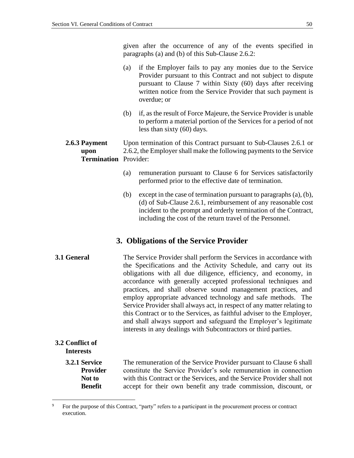given after the occurrence of any of the events specified in paragraphs (a) and (b) of this Sub-Clause 2.6.2:

- (a) if the Employer fails to pay any monies due to the Service Provider pursuant to this Contract and not subject to dispute pursuant to Clause 7 within Sixty (60) days after receiving written notice from the Service Provider that such payment is overdue; or
- (b) if, as the result of Force Majeure, the Service Provider is unable to perform a material portion of the Services for a period of not less than sixty (60) days.

#### **2.6.3 Payment upon Termination** Provider: Upon termination of this Contract pursuant to Sub-Clauses 2.6.1 or 2.6.2, the Employer shall make the following payments to the Service

- (a) remuneration pursuant to Clause 6 for Services satisfactorily performed prior to the effective date of termination.
- (b) except in the case of termination pursuant to paragraphs (a), (b), (d) of Sub-Clause 2.6.1, reimbursement of any reasonable cost incident to the prompt and orderly termination of the Contract, including the cost of the return travel of the Personnel.

### **3. Obligations of the Service Provider**

<span id="page-53-1"></span><span id="page-53-0"></span>**3.1 General** The Service Provider shall perform the Services in accordance with the Specifications and the Activity Schedule, and carry out its obligations with all due diligence, efficiency, and economy, in accordance with generally accepted professional techniques and practices, and shall observe sound management practices, and employ appropriate advanced technology and safe methods. The Service Provider shall always act, in respect of any matter relating to this Contract or to the Services, as faithful adviser to the Employer, and shall always support and safeguard the Employer's legitimate interests in any dealings with Subcontractors or third parties.

### <span id="page-53-2"></span>**3.2 Conflict of Interests**

#### **3.2.1 Service Provider Not to Benefit**

The remuneration of the Service Provider pursuant to Clause 6 shall constitute the Service Provider's sole remuneration in connection with this Contract or the Services, and the Service Provider shall not accept for their own benefit any trade commission, discount, or

<sup>&</sup>lt;sup>9</sup> For the purpose of this Contract, "party" refers to a participant in the procurement process or contract execution.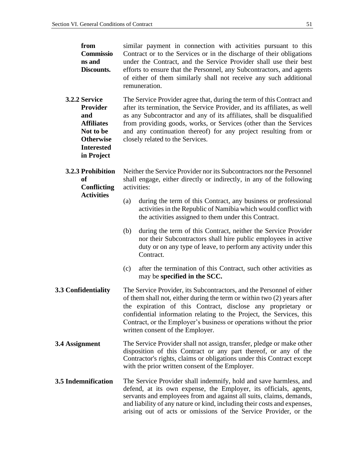<span id="page-54-2"></span><span id="page-54-1"></span><span id="page-54-0"></span>

| from<br><b>Commissio</b><br>ns and<br>Discounts.                                                                          | similar payment in connection with activities pursuant to this<br>Contract or to the Services or in the discharge of their obligations<br>under the Contract, and the Service Provider shall use their best<br>efforts to ensure that the Personnel, any Subcontractors, and agents<br>of either of them similarly shall not receive any such additional<br>remuneration.                              |
|---------------------------------------------------------------------------------------------------------------------------|--------------------------------------------------------------------------------------------------------------------------------------------------------------------------------------------------------------------------------------------------------------------------------------------------------------------------------------------------------------------------------------------------------|
| 3.2.2 Service<br>Provider<br>and<br><b>Affiliates</b><br>Not to be<br><b>Otherwise</b><br><b>Interested</b><br>in Project | The Service Provider agree that, during the term of this Contract and<br>after its termination, the Service Provider, and its affiliates, as well<br>as any Subcontractor and any of its affiliates, shall be disqualified<br>from providing goods, works, or Services (other than the Services<br>and any continuation thereof) for any project resulting from or<br>closely related to the Services. |
| 3.2.3 Prohibition<br><b>of</b><br><b>Conflicting</b>                                                                      | Neither the Service Provider nor its Subcontractors nor the Personnel<br>shall engage, either directly or indirectly, in any of the following<br>activities:                                                                                                                                                                                                                                           |
| <b>Activities</b>                                                                                                         | during the term of this Contract, any business or professional<br>(a)<br>activities in the Republic of Namibia which would conflict with<br>the activities assigned to them under this Contract.                                                                                                                                                                                                       |
|                                                                                                                           | during the term of this Contract, neither the Service Provider<br>(b)<br>nor their Subcontractors shall hire public employees in active<br>duty or on any type of leave, to perform any activity under this<br>Contract.                                                                                                                                                                               |
|                                                                                                                           | after the termination of this Contract, such other activities as<br>(c)<br>may be specified in the SCC.                                                                                                                                                                                                                                                                                                |
| 3.3 Confidentiality                                                                                                       | The Service Provider, its Subcontractors, and the Personnel of either<br>of them shall not, either during the term or within two (2) years after<br>the expiration of this Contract, disclose any proprietary or<br>confidential information relating to the Project, the Services, this<br>Contract, or the Employer's business or operations without the prior<br>written consent of the Employer.   |
| 3.4 Assignment                                                                                                            | The Service Provider shall not assign, transfer, pledge or make other<br>disposition of this Contract or any part thereof, or any of the<br>Contractor's rights, claims or obligations under this Contract except<br>with the prior written consent of the Employer.                                                                                                                                   |
| 3.5 Indemnification                                                                                                       | The Service Provider shall indemnify, hold and save harmless, and<br>defend, at its own expense, the Employer, its officials, agents,<br>servants and employees from and against all suits, claims, demands,<br>and liability of any nature or kind, including their costs and expenses,<br>arising out of acts or omissions of the Service Provider, or the                                           |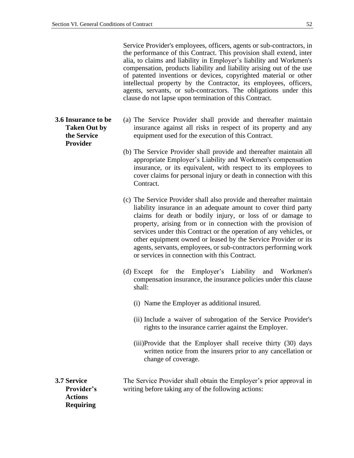Service Provider's employees, officers, agents or sub-contractors, in the performance of this Contract. This provision shall extend, inter alia, to claims and liability in Employer's liability and Workmen's compensation, products liability and liability arising out of the use of patented inventions or devices, copyrighted material or other intellectual property by the Contractor, its employees, officers, agents, servants, or sub-contractors. The obligations under this clause do not lapse upon termination of this Contract.

- (a) The Service Provider shall provide and thereafter maintain insurance against all risks in respect of its property and any equipment used for the execution of this Contract.
- (b) The Service Provider shall provide and thereafter maintain all appropriate Employer's Liability and Workmen's compensation insurance, or its equivalent, with respect to its employees to cover claims for personal injury or death in connection with this Contract.
- (c) The Service Provider shall also provide and thereafter maintain liability insurance in an adequate amount to cover third party claims for death or bodily injury, or loss of or damage to property, arising from or in connection with the provision of services under this Contract or the operation of any vehicles, or other equipment owned or leased by the Service Provider or its agents, servants, employees, or sub-contractors performing work or services in connection with this Contract.
- (d) Except for the Employer's Liability and Workmen's compensation insurance, the insurance policies under this clause shall:
	- (i) Name the Employer as additional insured.
	- (ii) Include a waiver of subrogation of the Service Provider's rights to the insurance carrier against the Employer.
	- (iii)Provide that the Employer shall receive thirty (30) days written notice from the insurers prior to any cancellation or change of coverage.

<span id="page-55-1"></span>**3.7 Service Provider's Actions**  The Service Provider shall obtain the Employer's prior approval in writing before taking any of the following actions:

**Requiring** 

<span id="page-55-0"></span>**3.6 Insurance to be Taken Out by the Service Provider**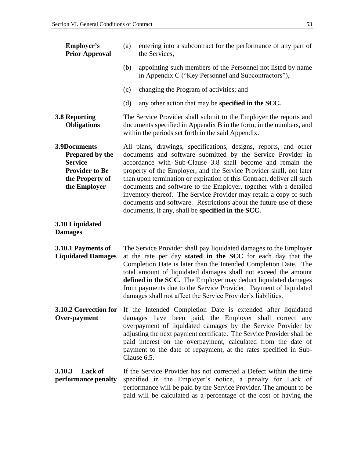<span id="page-56-2"></span><span id="page-56-1"></span><span id="page-56-0"></span>

| Employer's<br><b>Prior Approval</b>                                                                                  | entering into a subcontract for the performance of any part of<br>(a)<br>the Services,                                                                                                                                                                                                                                                                                                                                                                                                                                                                                                                             |  |  |
|----------------------------------------------------------------------------------------------------------------------|--------------------------------------------------------------------------------------------------------------------------------------------------------------------------------------------------------------------------------------------------------------------------------------------------------------------------------------------------------------------------------------------------------------------------------------------------------------------------------------------------------------------------------------------------------------------------------------------------------------------|--|--|
|                                                                                                                      | appointing such members of the Personnel not listed by name<br>(b)<br>in Appendix C ("Key Personnel and Subcontractors"),                                                                                                                                                                                                                                                                                                                                                                                                                                                                                          |  |  |
|                                                                                                                      | changing the Program of activities; and<br>(c)                                                                                                                                                                                                                                                                                                                                                                                                                                                                                                                                                                     |  |  |
|                                                                                                                      | (d)<br>any other action that may be specified in the SCC.                                                                                                                                                                                                                                                                                                                                                                                                                                                                                                                                                          |  |  |
| <b>3.8 Reporting</b><br><b>Obligations</b>                                                                           | The Service Provider shall submit to the Employer the reports and<br>documents specified in Appendix B in the form, in the numbers, and<br>within the periods set forth in the said Appendix.                                                                                                                                                                                                                                                                                                                                                                                                                      |  |  |
| 3.9Documents<br><b>Prepared by the</b><br><b>Service</b><br><b>Provider to Be</b><br>the Property of<br>the Employer | All plans, drawings, specifications, designs, reports, and other<br>documents and software submitted by the Service Provider in<br>accordance with Sub-Clause 3.8 shall become and remain the<br>property of the Employer, and the Service Provider shall, not later<br>than upon termination or expiration of this Contract, deliver all such<br>documents and software to the Employer, together with a detailed<br>inventory thereof. The Service Provider may retain a copy of such<br>documents and software. Restrictions about the future use of these<br>documents, if any, shall be specified in the SCC. |  |  |
| 3.10 Liquidated<br><b>Damages</b>                                                                                    |                                                                                                                                                                                                                                                                                                                                                                                                                                                                                                                                                                                                                    |  |  |
| 3.10.1 Payments of<br><b>Liquidated Damages</b>                                                                      | The Service Provider shall pay liquidated damages to the Employer<br>at the rate per day stated in the SCC for each day that the<br>Completion Date is later than the Intended Completion Date. The<br>total amount of liquidated damages shall not exceed the amount<br>defined in the SCC. The Employer may deduct liquidated damages<br>from payments due to the Service Provider. Payment of liquidated<br>damages shall not affect the Service Provider's liabilities.                                                                                                                                        |  |  |
| Over-payment                                                                                                         | <b>3.10.2 Correction for</b> If the Intended Completion Date is extended after liquidated<br>damages have been paid, the Employer shall correct any<br>overpayment of liquidated damages by the Service Provider by<br>adjusting the next payment certificate. The Service Provider shall be<br>paid interest on the overpayment, calculated from the date of<br>payment to the date of repayment, at the rates specified in Sub-<br>Clause 6.5.                                                                                                                                                                   |  |  |
| <b>Lack of</b><br>3.10.3<br>performance penalty                                                                      | If the Service Provider has not corrected a Defect within the time<br>specified in the Employer's notice, a penalty for Lack of<br>performance will be paid by the Service Provider. The amount to be<br>paid will be calculated as a percentage of the cost of having the                                                                                                                                                                                                                                                                                                                                         |  |  |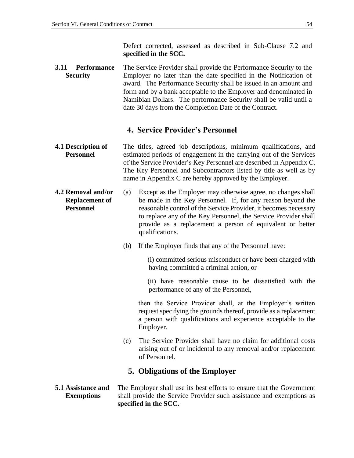Defect corrected, assessed as described in Sub-Clause 7.2 and **specified in the SCC.** 

<span id="page-57-0"></span>**3.11 Performance Security** The Service Provider shall provide the Performance Security to the Employer no later than the date specified in the Notification of award. The Performance Security shall be issued in an amount and form and by a bank acceptable to the Employer and denominated in Namibian Dollars. The performance Security shall be valid until a date 30 days from the Completion Date of the Contract.

### **4. Service Provider's Personnel**

- <span id="page-57-2"></span><span id="page-57-1"></span>**4.1 Description of Personnel** The titles, agreed job descriptions, minimum qualifications, and estimated periods of engagement in the carrying out of the Services of the Service Provider's Key Personnel are described in Appendix C. The Key Personnel and Subcontractors listed by title as well as by name in Appendix C are hereby approved by the Employer.
- <span id="page-57-3"></span>**4.2 Removal and/or Replacement of Personnel** (a) Except as the Employer may otherwise agree, no changes shall be made in the Key Personnel. If, for any reason beyond the reasonable control of the Service Provider, it becomes necessary to replace any of the Key Personnel, the Service Provider shall provide as a replacement a person of equivalent or better qualifications.
	- (b) If the Employer finds that any of the Personnel have:

 (i) committed serious misconduct or have been charged with having committed a criminal action, or

 (ii) have reasonable cause to be dissatisfied with the performance of any of the Personnel,

 then the Service Provider shall, at the Employer's written request specifying the grounds thereof, provide as a replacement a person with qualifications and experience acceptable to the Employer.

(c) The Service Provider shall have no claim for additional costs arising out of or incidental to any removal and/or replacement of Personnel.

### **5. Obligations of the Employer**

#### <span id="page-57-5"></span><span id="page-57-4"></span>**5.1 Assistance and Exemptions** The Employer shall use its best efforts to ensure that the Government shall provide the Service Provider such assistance and exemptions as **specified in the SCC.**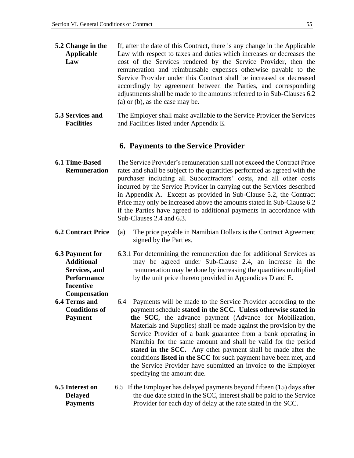**Compensation**

<span id="page-58-0"></span>

| 5.2 Change in the | If, after the date of this Contract, there is any change in the Applicable |
|-------------------|----------------------------------------------------------------------------|
| <b>Applicable</b> | Law with respect to taxes and duties which increases or decreases the      |
| Law               | cost of the Services rendered by the Service Provider, then the            |
|                   | remuneration and reimbursable expenses otherwise payable to the            |
|                   | Service Provider under this Contract shall be increased or decreased       |
|                   | accordingly by agreement between the Parties, and corresponding            |
|                   | adjustments shall be made to the amounts referred to in Sub-Clauses 6.2    |
|                   | (a) or (b), as the case may be.                                            |

<span id="page-58-1"></span>**5.3 Services and Facilities** The Employer shall make available to the Service Provider the Services and Facilities listed under Appendix E.

#### **6. Payments to the Service Provider**

- <span id="page-58-3"></span><span id="page-58-2"></span>**6.1 Time-Based Remuneration** The Service Provider's remuneration shall not exceed the Contract Price rates and shall be subject to the quantities performed as agreed with the purchaser including all Subcontractors' costs, and all other costs incurred by the Service Provider in carrying out the Services described in Appendix A. Except as provided in Sub-Clause 5.2, the Contract Price may only be increased above the amounts stated in Sub-Clause 6.2 if the Parties have agreed to additional payments in accordance with Sub-Clauses 2.4 and 6.3.
- <span id="page-58-4"></span>**6.2 Contract Price** (a) The price payable in Namibian Dollars is the Contract Agreement signed by the Parties.
- <span id="page-58-5"></span>**6.3 Payment for Additional Services, and Performance Incentive**  6.3.1 For determining the remuneration due for additional Services as may be agreed under Sub-Clause 2.4, an increase in the remuneration may be done by increasing the quantities multiplied by the unit price thereto provided in Appendices D and E.
- <span id="page-58-6"></span>**6.4 Terms and Conditions of Payment** 6.4 Payments will be made to the Service Provider according to the payment schedule **stated in the SCC. Unless otherwise stated in the SCC**, the advance payment (Advance for Mobilization, Materials and Supplies) shall be made against the provision by the Service Provider of a bank guarantee from a bank operating in Namibia for the same amount and shall be valid for the period **stated in the SCC.** Any other payment shall be made after the conditions **listed in the SCC** for such payment have been met, and the Service Provider have submitted an invoice to the Employer specifying the amount due.
- <span id="page-58-7"></span>**6.5 Interest on Delayed Payments** 6.5 If the Employer has delayed payments beyond fifteen (15) days after the due date stated in the SCC, interest shall be paid to the Service Provider for each day of delay at the rate stated in the SCC.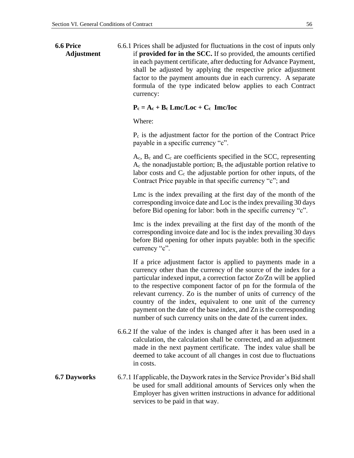<span id="page-59-0"></span>**6.6 Price Adjustment** 6.6.1 Prices shall be adjusted for fluctuations in the cost of inputs only if **provided for in the SCC.** If so provided, the amounts certified in each payment certificate, after deducting for Advance Payment, shall be adjusted by applying the respective price adjustment factor to the payment amounts due in each currency. A separate formula of the type indicated below applies to each Contract currency:

#### $P_c = A_c + B_c$  **Lmc/Loc** +  $C_c$  **Imc/Ioc**

Where:

 $P_c$  is the adjustment factor for the portion of the Contract Price payable in a specific currency "c".

 $A_c$ ,  $B_c$  and  $C_c$  are coefficients specified in the SCC, representing  $A_c$  the nonadjustable portion;  $B_c$  the adjustable portion relative to labor costs and  $C_c$  the adjustable portion for other inputs, of the Contract Price payable in that specific currency "c"; and

Lmc is the index prevailing at the first day of the month of the corresponding invoice date and Loc is the index prevailing 30 days before Bid opening for labor: both in the specific currency "c".

Imc is the index prevailing at the first day of the month of the corresponding invoice date and Ioc is the index prevailing 30 days before Bid opening for other inputs payable: both in the specific currency "c".

If a price adjustment factor is applied to payments made in a currency other than the currency of the source of the index for a particular indexed input, a correction factor Zo/Zn will be applied to the respective component factor of pn for the formula of the relevant currency. Zo is the number of units of currency of the country of the index, equivalent to one unit of the currency payment on the date of the base index, and Zn is the corresponding number of such currency units on the date of the current index.

- 6.6.2 If the value of the index is changed after it has been used in a calculation, the calculation shall be corrected, and an adjustment made in the next payment certificate. The index value shall be deemed to take account of all changes in cost due to fluctuations in costs.
- <span id="page-59-1"></span>**6.7 Dayworks** 6.7.1 If applicable, the Daywork rates in the Service Provider's Bid shall be used for small additional amounts of Services only when the Employer has given written instructions in advance for additional services to be paid in that way.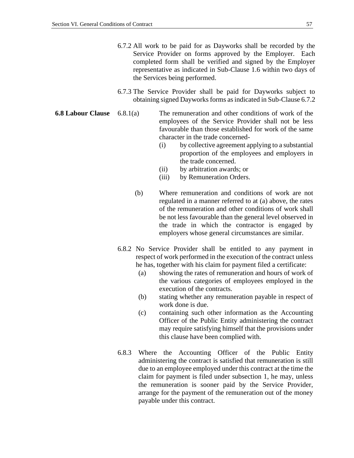- 6.7.2 All work to be paid for as Dayworks shall be recorded by the Service Provider on forms approved by the Employer. Each completed form shall be verified and signed by the Employer representative as indicated in Sub-Clause 1.6 within two days of the Services being performed.
- 6.7.3 The Service Provider shall be paid for Dayworks subject to obtaining signed Dayworks forms as indicated in Sub-Clause 6.7.2
- <span id="page-60-0"></span>**6.8 Labour Clause** 6.8.1(a) The remuneration and other conditions of work of the employees of the Service Provider shall not be less favourable than those established for work of the same character in the trade concerned-
	- (i) by collective agreement applying to a substantial proportion of the employees and employers in the trade concerned.
	- (ii) by arbitration awards; or
	- (iii) by Remuneration Orders.
	- (b) Where remuneration and conditions of work are not regulated in a manner referred to at (a) above, the rates of the remuneration and other conditions of work shall be not less favourable than the general level observed in the trade in which the contractor is engaged by employers whose general circumstances are similar.
	- 6.8.2 No Service Provider shall be entitled to any payment in respect of work performed in the execution of the contract unless he has, together with his claim for payment filed a certificate:
		- (a) showing the rates of remuneration and hours of work of the various categories of employees employed in the execution of the contracts.
		- (b) stating whether any remuneration payable in respect of work done is due.
		- (c) containing such other information as the Accounting Officer of the Public Entity administering the contract may require satisfying himself that the provisions under this clause have been complied with.
	- 6.8.3 Where the Accounting Officer of the Public Entity administering the contract is satisfied that remuneration is still due to an employee employed under this contract at the time the claim for payment is filed under subsection 1, he may, unless the remuneration is sooner paid by the Service Provider, arrange for the payment of the remuneration out of the money payable under this contract.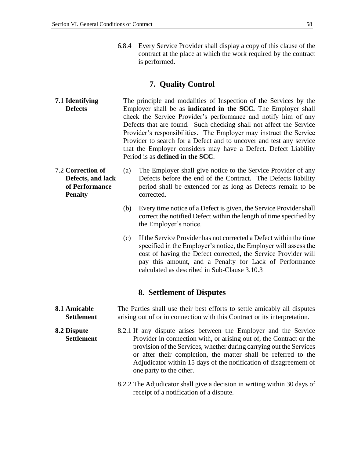6.8.4 Every Service Provider shall display a copy of this clause of the contract at the place at which the work required by the contract is performed.

### **7. Quality Control**

- <span id="page-61-1"></span><span id="page-61-0"></span>**7.1 Identifying Defects** The principle and modalities of Inspection of the Services by the Employer shall be as **indicated in the SCC.** The Employer shall check the Service Provider's performance and notify him of any Defects that are found. Such checking shall not affect the Service Provider's responsibilities. The Employer may instruct the Service Provider to search for a Defect and to uncover and test any service that the Employer considers may have a Defect. Defect Liability Period is as **defined in the SCC**.
- <span id="page-61-2"></span>7.2 **Correction of Defects, and lack of Performance Penalty** (a) The Employer shall give notice to the Service Provider of any Defects before the end of the Contract. The Defects liability period shall be extended for as long as Defects remain to be corrected.
	- (b) Every time notice of a Defect is given, the Service Provider shall correct the notified Defect within the length of time specified by the Employer's notice.
	- (c) If the Service Provider has not corrected a Defect within the time specified in the Employer's notice, the Employer will assess the cost of having the Defect corrected, the Service Provider will pay this amount, and a Penalty for Lack of Performance calculated as described in Sub-Clause 3.10.3

### **8. Settlement of Disputes**

- <span id="page-61-4"></span><span id="page-61-3"></span>**8.1 Amicable Settlement** The Parties shall use their best efforts to settle amicably all disputes arising out of or in connection with this Contract or its interpretation.
- <span id="page-61-5"></span>**8.2 Dispute Settlement** 8.2.1 If any dispute arises between the Employer and the Service Provider in connection with, or arising out of, the Contract or the provision of the Services, whether during carrying out the Services or after their completion, the matter shall be referred to the Adjudicator within 15 days of the notification of disagreement of one party to the other.
	- 8.2.2 The Adjudicator shall give a decision in writing within 30 days of receipt of a notification of a dispute.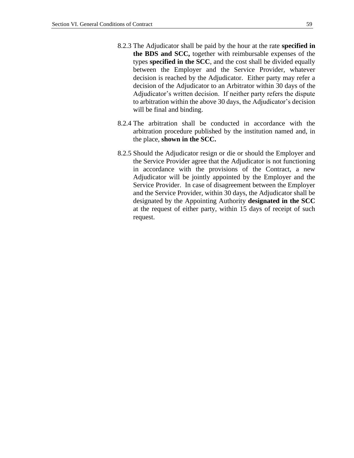- 8.2.3 The Adjudicator shall be paid by the hour at the rate **specified in the BDS and SCC,** together with reimbursable expenses of the types **specified in the SCC**, and the cost shall be divided equally between the Employer and the Service Provider, whatever decision is reached by the Adjudicator. Either party may refer a decision of the Adjudicator to an Arbitrator within 30 days of the Adjudicator's written decision. If neither party refers the dispute to arbitration within the above 30 days, the Adjudicator's decision will be final and binding.
- 8.2.4 The arbitration shall be conducted in accordance with the arbitration procedure published by the institution named and, in the place, **shown in the SCC.**
- 8.2.5 Should the Adjudicator resign or die or should the Employer and the Service Provider agree that the Adjudicator is not functioning in accordance with the provisions of the Contract, a new Adjudicator will be jointly appointed by the Employer and the Service Provider. In case of disagreement between the Employer and the Service Provider, within 30 days, the Adjudicator shall be designated by the Appointing Authority **designated in the SCC** at the request of either party, within 15 days of receipt of such request.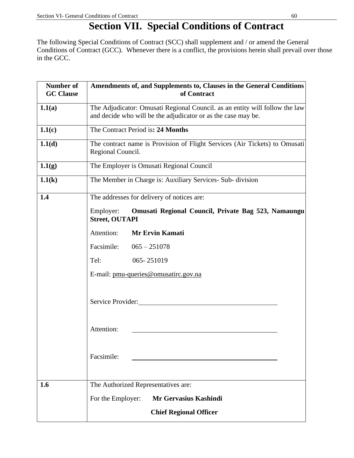## **Section VII. Special Conditions of Contract**

<span id="page-63-0"></span>The following Special Conditions of Contract (SCC) shall supplement and / or amend the General Conditions of Contract (GCC). Whenever there is a conflict, the provisions herein shall prevail over those in the GCC*.* 

| <b>Number of</b><br><b>GC</b> Clause | Amendments of, and Supplements to, Clauses in the General Conditions<br>of Contract                                                          |
|--------------------------------------|----------------------------------------------------------------------------------------------------------------------------------------------|
| 1.1(a)                               | The Adjudicator: Omusati Regional Council. as an entity will follow the law<br>and decide who will be the adjudicator or as the case may be. |
| 1.1(c)                               | The Contract Period is: 24 Months                                                                                                            |
| 1.1(d)                               | The contract name is Provision of Flight Services (Air Tickets) to Omusati<br>Regional Council.                                              |
| 1.1(g)                               | The Employer is Omusati Regional Council                                                                                                     |
| 1.1(k)                               | The Member in Charge is: Auxiliary Services- Sub- division                                                                                   |
| 1.4                                  | The addresses for delivery of notices are:                                                                                                   |
|                                      | Omusati Regional Council, Private Bag 523, Namaungu<br>Employer:<br><b>Street, OUTAPI</b>                                                    |
|                                      | Attention:<br><b>Mr Ervin Kamati</b>                                                                                                         |
|                                      | Facsimile:<br>$065 - 251078$                                                                                                                 |
|                                      | 065-251019<br>Tel:                                                                                                                           |
|                                      | E-mail: pmu-queries@omusatirc.gov.na                                                                                                         |
|                                      |                                                                                                                                              |
|                                      | Service Provider:                                                                                                                            |
|                                      |                                                                                                                                              |
|                                      | Attention:                                                                                                                                   |
|                                      |                                                                                                                                              |
|                                      | Facsimile:                                                                                                                                   |
|                                      |                                                                                                                                              |
| 1.6                                  | The Authorized Representatives are:                                                                                                          |
|                                      | Mr Gervasius Kashindi<br>For the Employer:                                                                                                   |
|                                      | <b>Chief Regional Officer</b>                                                                                                                |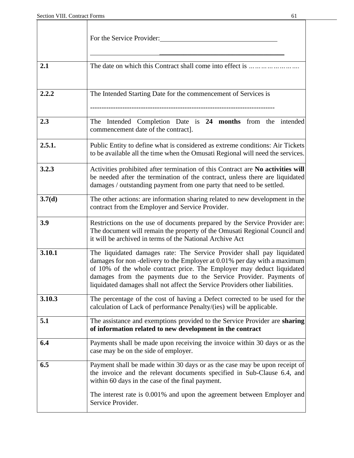|        | For the Service Provider:                                                                                                                                                                                                                                                                                                                                                          |
|--------|------------------------------------------------------------------------------------------------------------------------------------------------------------------------------------------------------------------------------------------------------------------------------------------------------------------------------------------------------------------------------------|
| 2.1    | The date on which this Contract shall come into effect is                                                                                                                                                                                                                                                                                                                          |
| 2.2.2  | The Intended Starting Date for the commencement of Services is                                                                                                                                                                                                                                                                                                                     |
| 2.3    | The Intended Completion Date is 24 months from the<br>intended<br>commencement date of the contract].                                                                                                                                                                                                                                                                              |
| 2.5.1. | Public Entity to define what is considered as extreme conditions: Air Tickets<br>to be available all the time when the Omusati Regional will need the services.                                                                                                                                                                                                                    |
| 3.2.3  | Activities prohibited after termination of this Contract are No activities will<br>be needed after the termination of the contract, unless there are liquidated<br>damages / outstanding payment from one party that need to be settled.                                                                                                                                           |
| 3.7(d) | The other actions: are information sharing related to new development in the<br>contract from the Employer and Service Provider.                                                                                                                                                                                                                                                   |
| 3.9    | Restrictions on the use of documents prepared by the Service Provider are:<br>The document will remain the property of the Omusati Regional Council and<br>it will be archived in terms of the National Archive Act                                                                                                                                                                |
| 3.10.1 | The liquidated damages rate: The Service Provider shall pay liquidated<br>damages for non-delivery to the Employer at 0.01% per day with a maximum<br>of 10% of the whole contract price. The Employer may deduct liquidated<br>damages from the payments due to the Service Provider. Payments of<br>liquidated damages shall not affect the Service Providers other liabilities. |
| 3.10.3 | The percentage of the cost of having a Defect corrected to be used for the<br>calculation of Lack of performance Penalty/(ies) will be applicable.                                                                                                                                                                                                                                 |
| 5.1    | The assistance and exemptions provided to the Service Provider are sharing<br>of information related to new development in the contract                                                                                                                                                                                                                                            |
| 6.4    | Payments shall be made upon receiving the invoice within 30 days or as the<br>case may be on the side of employer.                                                                                                                                                                                                                                                                 |
| 6.5    | Payment shall be made within 30 days or as the case may be upon receipt of<br>the invoice and the relevant documents specified in Sub-Clause 6.4, and<br>within 60 days in the case of the final payment.                                                                                                                                                                          |
|        | The interest rate is 0.001% and upon the agreement between Employer and<br>Service Provider.                                                                                                                                                                                                                                                                                       |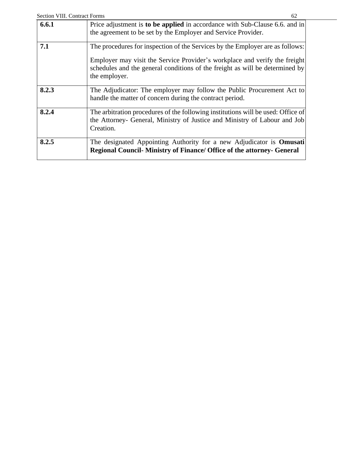<span id="page-65-0"></span>

| <b>Section VIII. Contract Forms</b> | 62                                                                                                                                                                                                                                          |
|-------------------------------------|---------------------------------------------------------------------------------------------------------------------------------------------------------------------------------------------------------------------------------------------|
| 6.6.1                               | Price adjustment is to be applied in accordance with Sub-Clause 6.6. and in<br>the agreement to be set by the Employer and Service Provider.                                                                                                |
| 7.1                                 | The procedures for inspection of the Services by the Employer are as follows:<br>Employer may visit the Service Provider's workplace and verify the freight<br>schedules and the general conditions of the freight as will be determined by |
| 8.2.3                               | the employer.<br>The Adjudicator: The employer may follow the Public Procurement Act to<br>handle the matter of concern during the contract period.                                                                                         |
| 8.2.4                               | The arbitration procedures of the following institutions will be used: Office of<br>the Attorney- General, Ministry of Justice and Ministry of Labour and Job<br>Creation.                                                                  |
| 8.2.5                               | The designated Appointing Authority for a new Adjudicator is <b>Omusati</b><br><b>Regional Council-Ministry of Finance/ Office of the attorney- General</b>                                                                                 |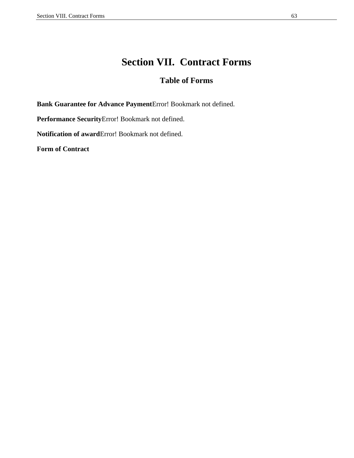### **Section VII. Contract Forms**

### **Table of Forms**

**Bank Guarantee for Advance Payment**Error! Bookmark not defined.

**Performance Security**Error! Bookmark not defined.

**Notification of award**Error! Bookmark not defined.

**[Form of Contract](#page-67-0)**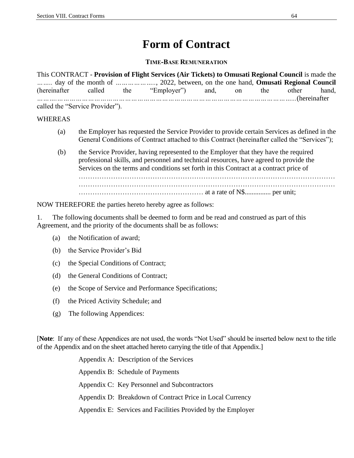## **Form of Contract**

**TIME-BASE REMUNERATION**

<span id="page-67-0"></span>This CONTRACT - **Provision of Flight Services (Air Tickets) to Omusati Regional Council** is made the *……..* day of the month of *………………..*, 2022, between, on the one hand, **Omusati Regional Council** (hereinafter called the "Employer") and, on the other hand, *……….……………………………………………………………………………………………………...*(hereinafter called the "Service Provider").

### WHEREAS

- (a) the Employer has requested the Service Provider to provide certain Services as defined in the General Conditions of Contract attached to this Contract (hereinafter called the "Services");
- (b) the Service Provider, having represented to the Employer that they have the required professional skills, and personnel and technical resources, have agreed to provide the Services on the terms and conditions set forth in this Contract at a contract price of ………………………………………………………………………………………………… ………………………………………………………………………………………………… ……………………………………………… at a rate of N\$............... per unit;

NOW THEREFORE the parties hereto hereby agree as follows:

1. The following documents shall be deemed to form and be read and construed as part of this Agreement, and the priority of the documents shall be as follows:

- (a) the Notification of award;
- (b) the Service Provider's Bid
- (c) the Special Conditions of Contract;
- (d) the General Conditions of Contract;
- (e) the Scope of Service and Performance Specifications;
- (f) the Priced Activity Schedule; and
- (g) The following Appendices:

[**Note**: If any of these Appendices are not used, the words "Not Used" should be inserted below next to the title of the Appendix and on the sheet attached hereto carrying the title of that Appendix.]

> Appendix A: Description of the Services Appendix B: Schedule of Payments Appendix C: Key Personnel and Subcontractors Appendix D: Breakdown of Contract Price in Local Currency Appendix E: Services and Facilities Provided by the Employer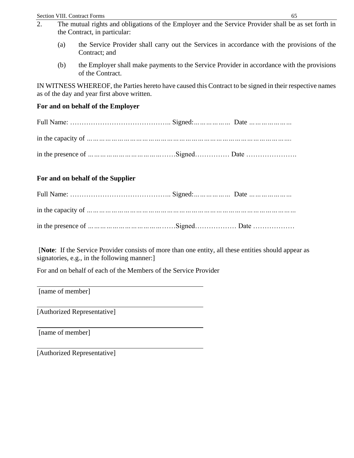- 2. The mutual rights and obligations of the Employer and the Service Provider shall be as set forth in the Contract, in particular:
	- (a) the Service Provider shall carry out the Services in accordance with the provisions of the Contract; and
	- (b) the Employer shall make payments to the Service Provider in accordance with the provisions of the Contract.

IN WITNESS WHEREOF, the Parties hereto have caused this Contract to be signed in their respective names as of the day and year first above written.

### **For and on behalf of the Employer**

Full Name: …………………………………….. Signed:*………………* Date *…………………* in the capacity of *……………………………………………………………………………………….* in the presence of *………………………………*……Signed…………… Date ………………….

### **For and on behalf of the Supplier**

[**Note**: If the Service Provider consists of more than one entity, all these entities should appear as signatories, e.g., in the following manner:

For and on behalf of each of the Members of the Service Provider

[name of member]

[Authorized Representative]

[name of member]

[Authorized Representative]